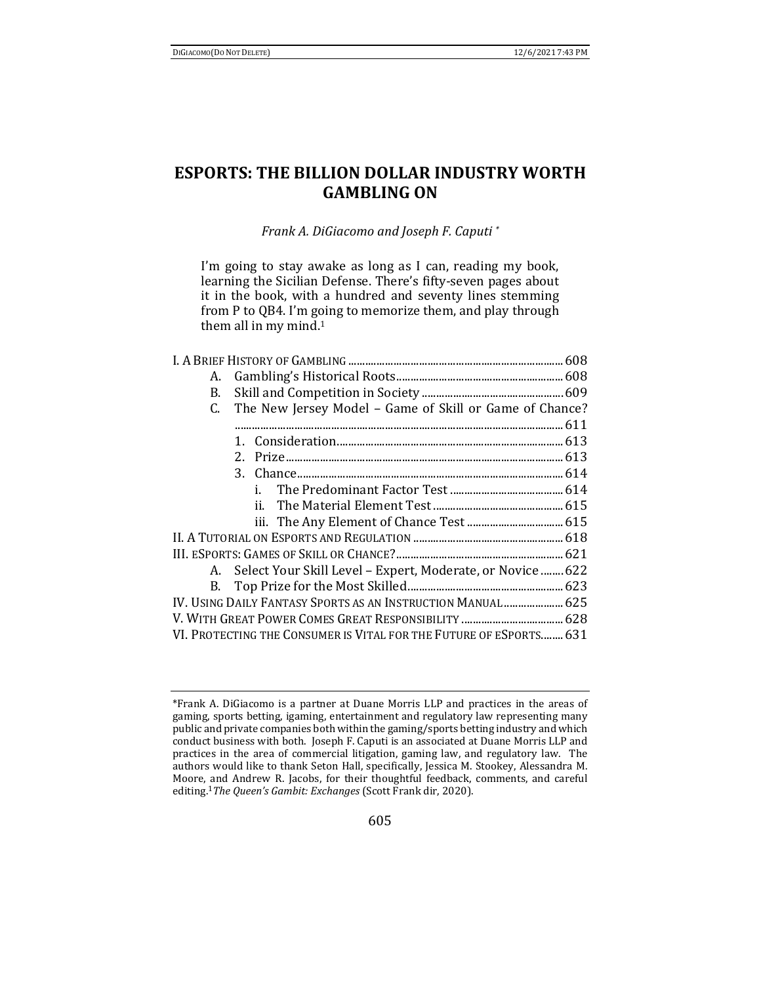# **ESPORTS: THE BILLION DOLLAR INDUSTRY WORTH GAMBLING ON**

*Frank A. DiGiacomo and Joseph F. Caputi \**

I'm going to stay awake as long as I can, reading my book, learning the Sicilian Defense. There's fifty-seven pages about it in the book, with a hundred and seventy lines stemming from P to QB4. I'm going to memorize them, and play through them all in my mind.<sup>1</sup>

| А. |                                                                    |  |
|----|--------------------------------------------------------------------|--|
| B. |                                                                    |  |
| C. | The New Jersey Model - Game of Skill or Game of Chance?            |  |
|    |                                                                    |  |
|    |                                                                    |  |
|    |                                                                    |  |
|    |                                                                    |  |
|    |                                                                    |  |
|    |                                                                    |  |
|    |                                                                    |  |
|    |                                                                    |  |
|    |                                                                    |  |
|    | A. Select Your Skill Level - Expert, Moderate, or Novice  622      |  |
|    |                                                                    |  |
|    | IV. USING DAILY FANTASY SPORTS AS AN INSTRUCTION MANUAL  625       |  |
|    |                                                                    |  |
|    | VI. PROTECTING THE CONSUMER IS VITAL FOR THE FUTURE OF ESPORTS 631 |  |

<sup>\*</sup>Frank A. DiGiacomo is a partner at Duane Morris LLP and practices in the areas of gaming, sports betting, igaming, entertainment and regulatory law representing many public and private companies both within the gaming/sports betting industry and which conduct business with both. Joseph F. Caputi is an associated at Duane Morris LLP and practices in the area of commercial litigation, gaming law, and regulatory law. The authors would like to thank Seton Hall, specifically, Jessica M. Stookey, Alessandra M. Moore, and Andrew R. Jacobs, for their thoughtful feedback, comments, and careful editing.1*The Queen's Gambit: Exchanges* (Scott Frank dir, 2020).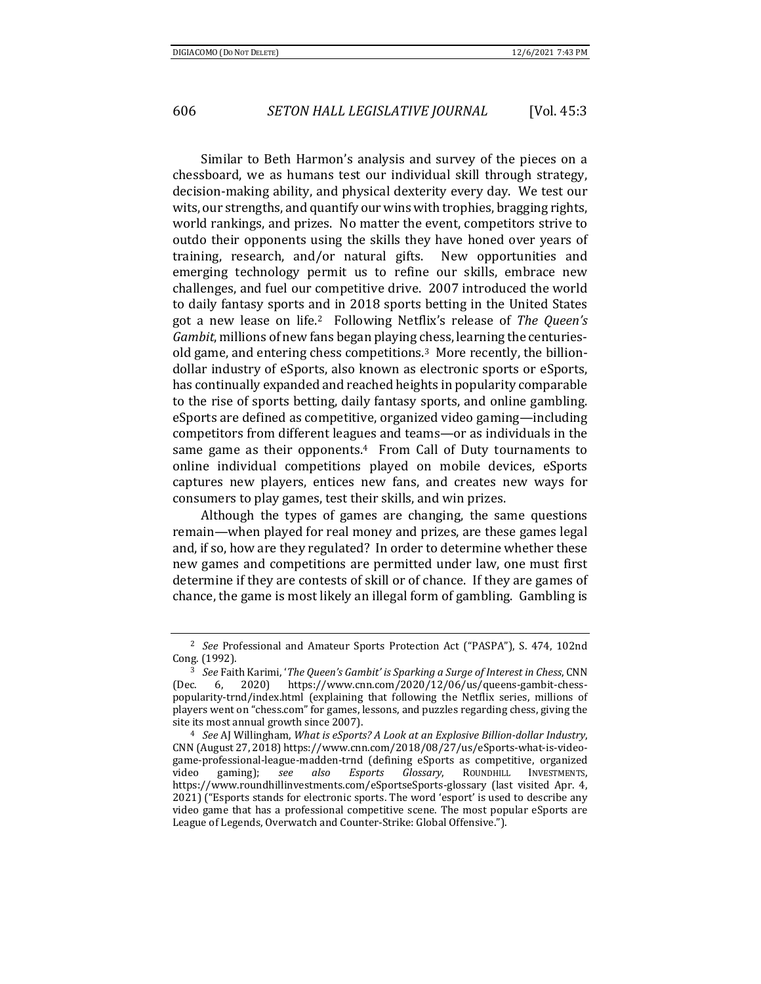Similar to Beth Harmon's analysis and survey of the pieces on a chessboard, we as humans test our individual skill through strategy, decision-making ability, and physical dexterity every day. We test our wits, our strengths, and quantify our wins with trophies, bragging rights, world rankings, and prizes. No matter the event, competitors strive to outdo their opponents using the skills they have honed over years of training, research, and/or natural gifts. New opportunities and emerging technology permit us to refine our skills, embrace new challenges, and fuel our competitive drive. 2007 introduced the world to daily fantasy sports and in 2018 sports betting in the United States got a new lease on life.2 Following Netflix's release of *The Queen's Gambit*, millions of new fans began playing chess, learning the centuriesold game, and entering chess competitions.3 More recently, the billiondollar industry of eSports, also known as electronic sports or eSports, has continually expanded and reached heights in popularity comparable to the rise of sports betting, daily fantasy sports, and online gambling. eSports are defined as competitive, organized video gaming—including competitors from different leagues and teams—or as individuals in the same game as their opponents. $4$  From Call of Duty tournaments to online individual competitions played on mobile devices, eSports captures new players, entices new fans, and creates new ways for consumers to play games, test their skills, and win prizes.

Although the types of games are changing, the same questions remain—when played for real money and prizes, are these games legal and, if so, how are they regulated? In order to determine whether these new games and competitions are permitted under law, one must first determine if they are contests of skill or of chance. If they are games of chance, the game is most likely an illegal form of gambling. Gambling is

<sup>2</sup> *See* Professional and Amateur Sports Protection Act ("PASPA"), S. 474, 102nd Cong. (1992). 3 *See* Faith Karimi, '*The Queen's Gambit' is Sparking <sup>a</sup> Surge of Interest in Chess*, CNN

<sup>(</sup>Dec. 6, 2020) https://www.cnn.com/2020/12/06/us/queens-gambit-chesspopularity-trnd/index.html (explaining that following the Netflix series, millions of players went on "chess.com" for games, lessons, and puzzles regarding chess, giving the site its most annual growth since 2007). 4 *See* AJ Willingham, *What is eSports? <sup>A</sup> Look at an Explosive Billion‐dollar Industry*,

CNN (August 27, 2018) https://www.cnn.com/2018/08/27/us/eSports-what-is-videogame-professional-league-madden-trnd (defining eSports as competitive, organized video gaming); *see also Esports Glossary*, ROUNDHILL INVESTMENTS, https://www.roundhillinvestments.com/eSportseSports-glossary (last visited Apr. 4, 2021) ("Esports stands for electronic sports. The word 'esport' is used to describe any video game that has a professional competitive scene. The most popular eSports are League of Legends, Overwatch and Counter-Strike: Global Offensive.").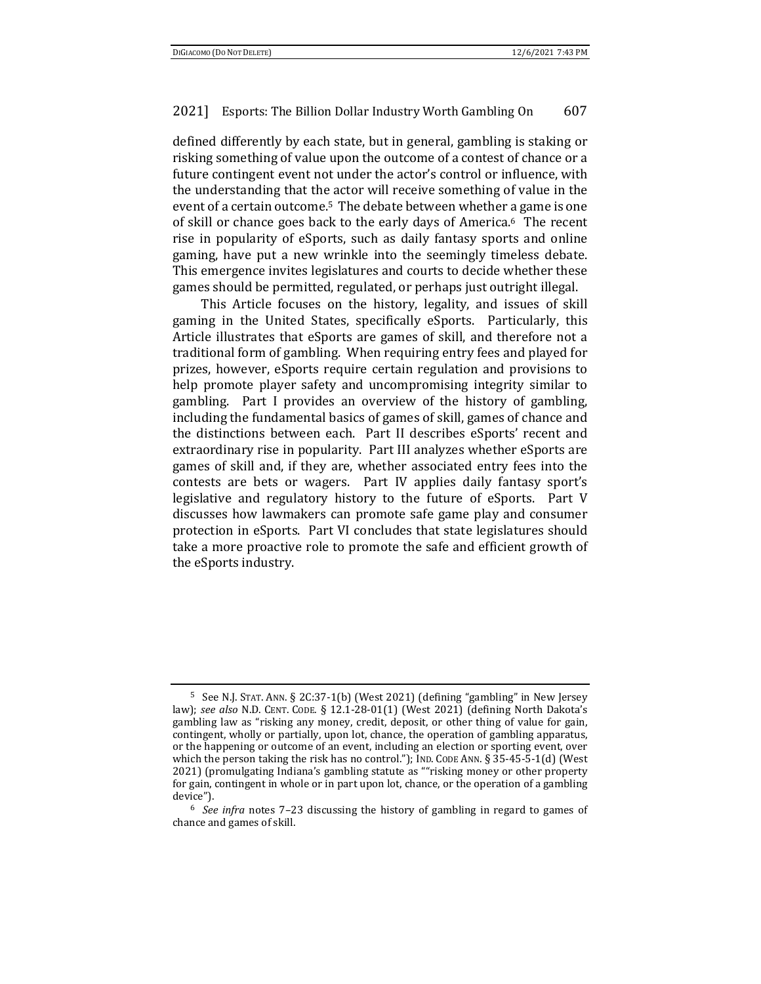defined differently by each state, but in general, gambling is staking or risking something of value upon the outcome of a contest of chance or a future contingent event not under the actor's control or influence, with the understanding that the actor will receive something of value in the event of a certain outcome.5 The debate between whether a game is one of skill or chance goes back to the early days of America.6 The recent rise in popularity of eSports, such as daily fantasy sports and online gaming, have put a new wrinkle into the seemingly timeless debate. This emergence invites legislatures and courts to decide whether these games should be permitted, regulated, or perhaps just outright illegal.

This Article focuses on the history, legality, and issues of skill gaming in the United States, specifically eSports. Particularly, this Article illustrates that eSports are games of skill, and therefore not a traditional form of gambling. When requiring entry fees and played for prizes, however, eSports require certain regulation and provisions to help promote player safety and uncompromising integrity similar to gambling. Part I provides an overview of the history of gambling, including the fundamental basics of games of skill, games of chance and the distinctions between each. Part II describes eSports' recent and extraordinary rise in popularity. Part III analyzes whether eSports are games of skill and, if they are, whether associated entry fees into the contests are bets or wagers. Part IV applies daily fantasy sport's legislative and regulatory history to the future of eSports. Part V discusses how lawmakers can promote safe game play and consumer protection in eSports. Part VI concludes that state legislatures should take a more proactive role to promote the safe and efficient growth of the eSports industry.

<sup>5</sup> See N.J. STAT. ANN. § 2C:37-1(b) (West 2021) (defining "gambling" in New Jersey law); *see also* N.D. CENT. CODE*.* § 12.1-28-01(1) (West 2021) (defining North Dakota's gambling law as "risking any money, credit, deposit, or other thing of value for gain, contingent, wholly or partially, upon lot, chance, the operation of gambling apparatus, or the happening or outcome of an event, including an election or sporting event, over which the person taking the risk has no control."); IND. CODE ANN. § 35-45-5-1(d) (West 2021) (promulgating Indiana's gambling statute as ""risking money or other property for gain, contingent in whole or in part upon lot, chance, or the operation of a gambling device"). 6 *See infra* notes 7–23 discussing the history of gambling in regard to games of

chance and games of skill.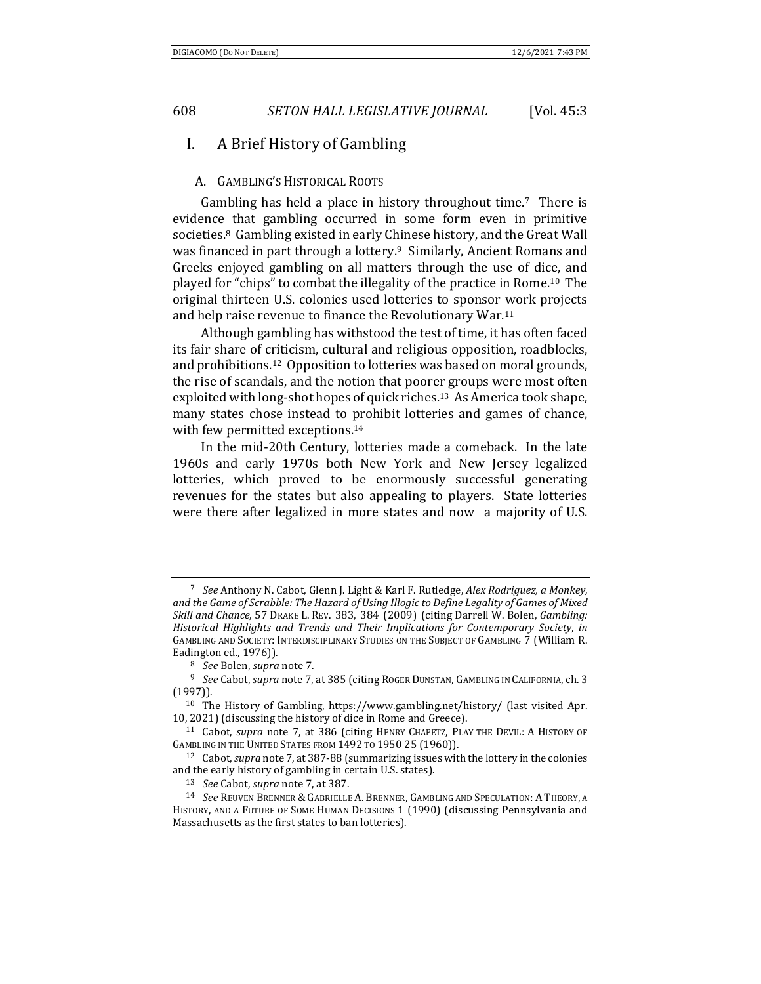## I. A Brief History of Gambling

#### A. GAMBLING'S HISTORICAL ROOTS

Gambling has held a place in history throughout time.7 There is evidence that gambling occurred in some form even in primitive societies.8 Gambling existed in early Chinese history, and the Great Wall was financed in part through a lottery.<sup>9</sup> Similarly, Ancient Romans and Greeks enjoyed gambling on all matters through the use of dice, and played for "chips" to combat the illegality of the practice in Rome.10 The original thirteen U.S. colonies used lotteries to sponsor work projects and help raise revenue to finance the Revolutionary War.11

Although gambling has withstood the test of time, it has often faced its fair share of criticism, cultural and religious opposition, roadblocks, and prohibitions.12 Opposition to lotteries was based on moral grounds, the rise of scandals, and the notion that poorer groups were most often exploited with long-shot hopes of quick riches.13 As America took shape, many states chose instead to prohibit lotteries and games of chance, with few permitted exceptions.14

In the mid-20th Century, lotteries made a comeback. In the late 1960s and early 1970s both New York and New Jersey legalized lotteries, which proved to be enormously successful generating revenues for the states but also appealing to players. State lotteries were there after legalized in more states and now a majority of U.S.

<sup>7</sup> *See* Anthony N. Cabot, Glenn J. Light & Karl F. Rutledge, *Alex Rodriguez, a Monkey, and the Game of Scrabble: The Hazard of Using Illogic to Define Legality of Games of Mixed Skill and Chance*, 57 DRAKE L. REV. 383, 384 (2009) (citing Darrell W. Bolen, *Gambling: Historical Highlights and Trends and Their Implications for Contemporary Society*, *in* GAMBLING AND SOCIETY: INTERDISCIPLINARY STUDIES ON THE SUBJECT OF GAMBLING 7 (William R.

Eadington ed., 1976)).<br><sup>8</sup> *See* Bolen, *supra* note 7.<br><sup>9</sup> *See* Cabot, *supra* note 7, at 385 (citing ROGER DUNSTAN, GAMBLING IN CALIFORNIA, ch. 3 (1997)). 10 The History of Gambling, https://www.gambling.net/history/ (last visited Apr.

<sup>10, 2021) (</sup>discussing the history of dice in Rome and Greece). 11 Cabot, *supra* note 7, at 386 (citing HENRY CHAFETZ, PLAY THE DEVIL: <sup>A</sup> HISTORY OF

GAMBLING IN THE UNITED STATES FROM 1492 TO 1950 25 (1960).<br><sup>12</sup> Cabot, *supra* note 7, at 387-88 (summarizing issues with the lottery in the colonies

and the early history of gambling in certain U.S. states).<br><sup>13</sup> *See* Cabot, *supra* note 7, at 387.<br><sup>14</sup> *See* REUVEN BRENNER & GABRIELLE A. BRENNER. GAMBLING AND SPECULATION: A THEORY. A

HISTORY, AND A FUTURE OF SOME HUMAN DECISIONS 1 (1990) (discussing Pennsylvania and Massachusetts as the first states to ban lotteries).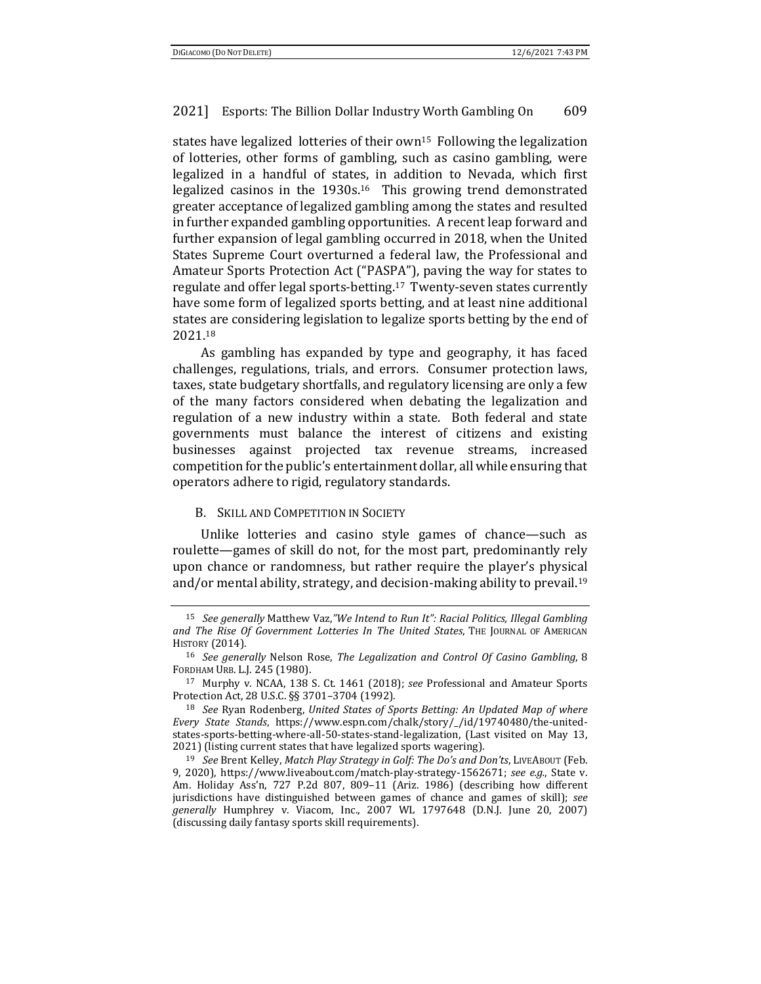states have legalized lotteries of their own15 Following the legalization of lotteries, other forms of gambling, such as casino gambling, were legalized in a handful of states, in addition to Nevada, which first legalized casinos in the 1930s.16 This growing trend demonstrated greater acceptance of legalized gambling among the states and resulted in further expanded gambling opportunities. A recent leap forward and further expansion of legal gambling occurred in 2018, when the United States Supreme Court overturned a federal law, the Professional and Amateur Sports Protection Act ("PASPA"), paving the way for states to regulate and offer legal sports-betting.17 Twenty-seven states currently have some form of legalized sports betting, and at least nine additional states are considering legislation to legalize sports betting by the end of 2021.18

As gambling has expanded by type and geography, it has faced challenges, regulations, trials, and errors. Consumer protection laws, taxes, state budgetary shortfalls, and regulatory licensing are only a few of the many factors considered when debating the legalization and regulation of a new industry within a state. Both federal and state governments must balance the interest of citizens and existing businesses against projected tax revenue streams, increased competition for the public's entertainment dollar, all while ensuring that operators adhere to rigid, regulatory standards.

#### B. SKILL AND COMPETITION IN SOCIETY

Unlike lotteries and casino style games of chance—such as roulette—games of skill do not, for the most part, predominantly rely upon chance or randomness, but rather require the player's physical and/or mental ability, strategy, and decision-making ability to prevail.19

<sup>15</sup> *See generally* Matthew Vaz,*"We Intend to Run It": Racial Politics, Illegal Gambling and The Rise Of Government Lotteries In The United States*, THE JOURNAL OF AMERICAN

HISTORY (2014). 16 *See generally* Nelson Rose, *The Legalization and Control Of Casino Gambling*, <sup>8</sup>

<sup>&</sup>lt;sup>17</sup> Murphy v. NCAA, 138 S. Ct. 1461 (2018); *see* Professional and Amateur Sports Protection Act, 28 U.S.C. §§ 3701–3704 (1992). 18 *See* Ryan Rodenberg, *United States of Sports Betting: An Updated Map of where*

*Every State Stands*, https://www.espn.com/chalk/story/\_/id/19740480/the-unitedstates-sports-betting-where-all-50-states-stand-legalization, (Last visited on May 13, 2021) (listing current states that have legalized sports wagering). 19 *See* Brent Kelley, *Match Play Strategy in Golf: The Do's and Don'ts*, LIVEABOUT (Feb.

<sup>9, 2020),</sup> https://www.liveabout.com/match-play-strategy-1562671; *see e.g.*, State v. Am. Holiday Ass'n, 727 P.2d 807, 809–11 (Ariz. 1986) (describing how different jurisdictions have distinguished between games of chance and games of skill); *see generally* Humphrey v. Viacom, Inc., 2007 WL 1797648 (D.N.J. June 20, 2007) (discussing daily fantasy sports skill requirements).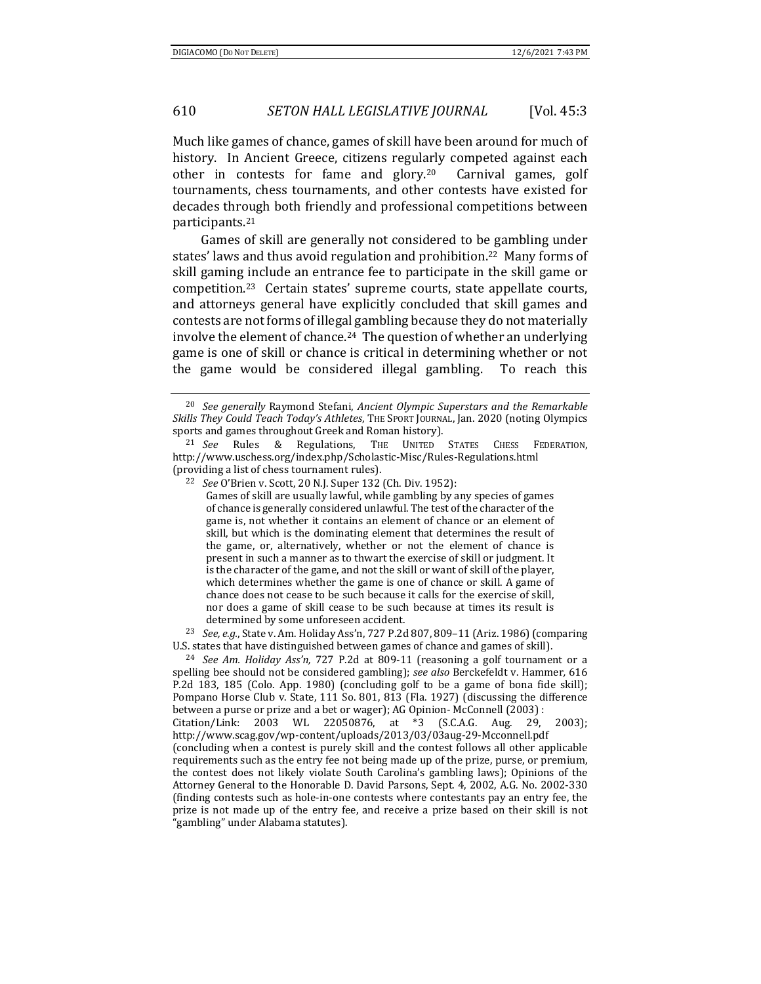Much like games of chance, games of skill have been around for much of history. In Ancient Greece, citizens regularly competed against each other in contests for fame and glory.20 Carnival games, golf tournaments, chess tournaments, and other contests have existed for decades through both friendly and professional competitions between participants.21

Games of skill are generally not considered to be gambling under states' laws and thus avoid regulation and prohibition.<sup>22</sup> Many forms of skill gaming include an entrance fee to participate in the skill game or competition.23 Certain states' supreme courts, state appellate courts, and attorneys general have explicitly concluded that skill games and contests are not forms of illegal gambling because they do not materially involve the element of chance.24 The question of whether an underlying game is one of skill or chance is critical in determining whether or not the game would be considered illegal gambling. To reach this

Games of skill are usually lawful, while gambling by any species of games of chance is generally considered unlawful. The test of the character of the game is, not whether it contains an element of chance or an element of skill, but which is the dominating element that determines the result of the game, or, alternatively, whether or not the element of chance is present in such a manner as to thwart the exercise of skill or judgment. It is the character of the game, and not the skill or want of skill of the player, which determines whether the game is one of chance or skill. A game of chance does not cease to be such because it calls for the exercise of skill, nor does a game of skill cease to be such because at times its result is

determined by some unforeseen accident. 23 *See, e.g.*, State v. Am. Holiday Ass'n, 727 P.2d 807, 809–11 (Ariz. 1986) (comparing U.S. states that have distinguished between games of chance and games of skill). 24 *See Am. Holiday Ass'n,* 727 P.2d at 809-11 (reasoning a golf tournament or a

spelling bee should not be considered gambling); *see also* Berckefeldt v. Hammer*,* 616 P.2d 183, 185 (Colo. App. 1980) (concluding golf to be a game of bona fide skill); Pompano Horse Club v. State, 111 So. 801, 813 (Fla. 1927) (discussing the difference between a purse or prize and a bet or wager); AG Opinion- McConnell (2003) :

Citation/Link: 2003 WL 22050876, at \*3 (S.C.A.G. Aug. 29, 2003); http://www.scag.gov/wp-content/uploads/2013/03/03aug-29-Mcconnell.pdf

(concluding when a contest is purely skill and the contest follows all other applicable requirements such as the entry fee not being made up of the prize, purse, or premium, the contest does not likely violate South Carolina's gambling laws); Opinions of the Attorney General to the Honorable D. David Parsons, Sept. 4, 2002, A.G. No. 2002-330 (finding contests such as hole-in-one contests where contestants pay an entry fee, the prize is not made up of the entry fee, and receive a prize based on their skill is not "gambling" under Alabama statutes).

<sup>20</sup> *See generally* Raymond Stefani, *Ancient Olympic Superstars and the Remarkable Skills They Could Teach Today's Athletes*, THE SPORT JOURNAL, Jan. 2020 (noting Olympics sports and games throughout Greek and Roman history).<br><sup>21</sup> *See* Rules & Regulations, THE UNITED STATES CHESS FEDERATION,

http://www.uschess.org/index.php/Scholastic-Misc/Rules-Regulations.html (providing a list of chess tournament rules). 22 *See* O'Brien v. Scott, 20 N.J. Super 132 (Ch. Div. 1952):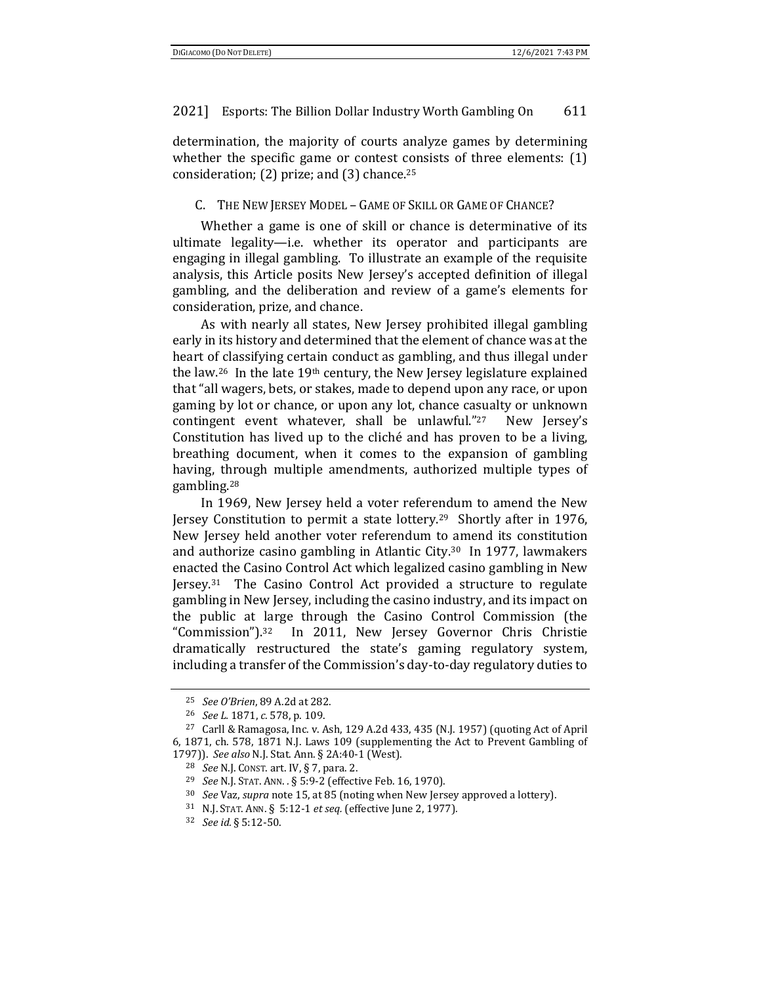determination, the majority of courts analyze games by determining whether the specific game or contest consists of three elements: (1) consideration; (2) prize; and (3) chance.<sup>25</sup>

### C. THE NEW JERSEY MODEL – GAME OF SKILL OR GAME OF CHANCE?

Whether a game is one of skill or chance is determinative of its ultimate legality—i.e. whether its operator and participants are engaging in illegal gambling. To illustrate an example of the requisite analysis, this Article posits New Jersey's accepted definition of illegal gambling, and the deliberation and review of a game's elements for consideration, prize, and chance.

As with nearly all states, New Jersey prohibited illegal gambling early in its history and determined that the element of chance was at the heart of classifying certain conduct as gambling, and thus illegal under the law.26 In the late 19th century, the New Jersey legislature explained that "all wagers, bets, or stakes, made to depend upon any race, or upon gaming by lot or chance, or upon any lot, chance casualty or unknown contingent event whatever, shall be unlawful."<sup>27</sup> New Jersey's Constitution has lived up to the cliché and has proven to be a living, breathing document, when it comes to the expansion of gambling having, through multiple amendments, authorized multiple types of gambling.28

In 1969, New Jersey held a voter referendum to amend the New Jersey Constitution to permit a state lottery.29 Shortly after in 1976, New Jersey held another voter referendum to amend its constitution and authorize casino gambling in Atlantic City.30 In 1977, lawmakers enacted the Casino Control Act which legalized casino gambling in New Jersey.31 The Casino Control Act provided a structure to regulate gambling in New Jersey, including the casino industry, and its impact on the public at large through the Casino Control Commission (the "Commission").32 In 2011, New Jersey Governor Chris Christie dramatically restructured the state's gaming regulatory system, including a transfer of the Commission's day-to-day regulatory duties to

<sup>25</sup> *See O'Brien*, 89 A.2d at 282. 26 *See L.* 1871, *c.* 578, p. 109. 27 Carll & Ramagosa, Inc. v. Ash, 129 A.2d 433, 435 (N.J. 1957) (quoting Act of April 6, 1871, ch. 578, 1871 N.J. Laws 109 (supplementing the Act to Prevent Gambling of 1797)). See also N.J. Stat. Ann. § 2A:40-1 (West).<br>
<sup>28</sup> See N.J. Const. art. IV, § 7, para. 2.<br>
<sup>29</sup> See N.J. Stat. Ann. . § 5:9-2 (effective Feb. 16, 1970).<br>
<sup>30</sup> See Vaz, *supra* note 15, at 85 (noting when New Jersey

<sup>32</sup> *See id.* § 5:12-50.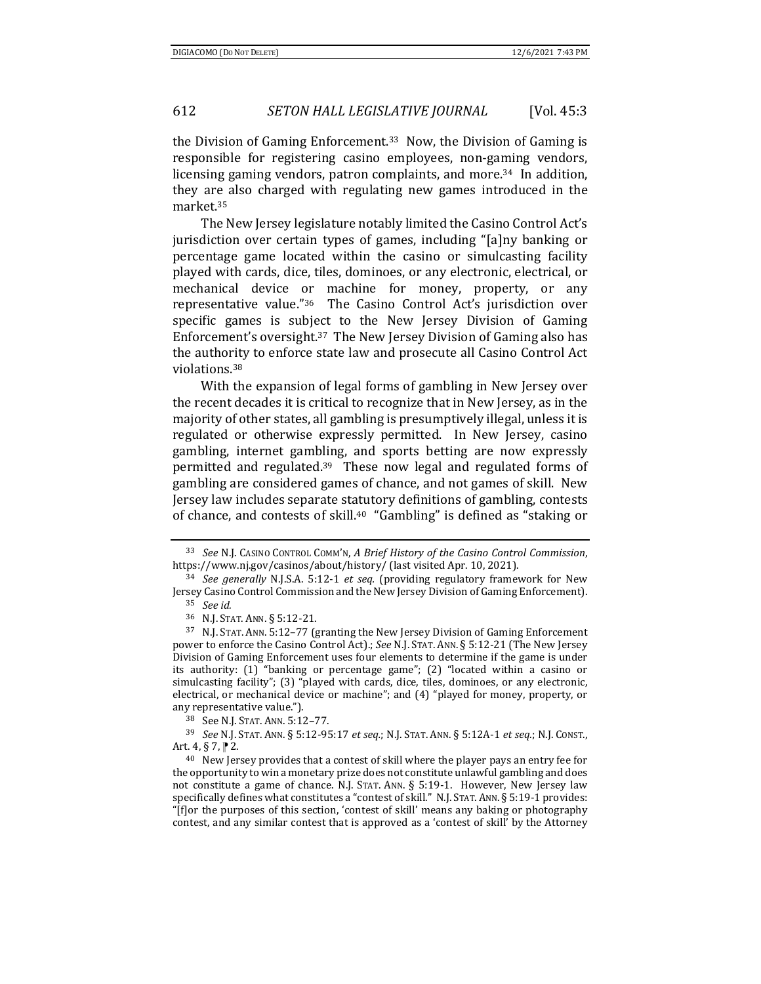the Division of Gaming Enforcement.33 Now, the Division of Gaming is responsible for registering casino employees, non-gaming vendors, licensing gaming vendors, patron complaints, and more.<sup>34</sup> In addition, they are also charged with regulating new games introduced in the market.35

The New Jersey legislature notably limited the Casino Control Act's jurisdiction over certain types of games, including "[a]ny banking or percentage game located within the casino or simulcasting facility played with cards, dice, tiles, dominoes, or any electronic, electrical, or mechanical device or machine for money, property, or any representative value."36 The Casino Control Act's jurisdiction over specific games is subject to the New Jersey Division of Gaming Enforcement's oversight.37 The New Jersey Division of Gaming also has the authority to enforce state law and prosecute all Casino Control Act violations.38

With the expansion of legal forms of gambling in New Jersey over the recent decades it is critical to recognize that in New Jersey, as in the majority of other states, all gambling is presumptively illegal, unless it is regulated or otherwise expressly permitted. In New Jersey, casino gambling, internet gambling, and sports betting are now expressly permitted and regulated.39 These now legal and regulated forms of gambling are considered games of chance, and not games of skill. New Jersey law includes separate statutory definitions of gambling, contests of chance, and contests of skill.40 "Gambling" is defined as "staking or

Art. 4, § 7,  $\uparrow$  2.<br><sup>40</sup> New Jersey provides that a contest of skill where the player pays an entry fee for

<sup>33</sup> *See* N.J. CASINO CONTROL COMM'N, *A Brief History of the Casino Control Commission*, https://www.nj.gov/casinos/about/history/ (last visited Apr. 10, 2021). 34 *See generally* N.J.S.A. 5:12-1 *et seq.* (providing regulatory framework for New

Jersey Casino Control Commission and the New Jersey Division of Gaming Enforcement). <sup>35</sup> *See id.*

<sup>&</sup>lt;sup>36</sup> N.J. STAT. ANN. § 5:12-21.<br><sup>37</sup> N.J. STAT. ANN. 5:12–77 (granting the New Jersey Division of Gaming Enforcement power to enforce the Casino Control Act).; *See* N.J. STAT. ANN. § 5:12-21 (The New Jersey Division of Gaming Enforcement uses four elements to determine if the game is under its authority: (1) "banking or percentage game"; (2) "located within a casino or simulcasting facility"; (3) "played with cards, dice, tiles, dominoes, or any electronic, electrical, or mechanical device or machine"; and (4) "played for money, property, or any representative value."). 38 See N.J. STAT. ANN. 5:12–77. 39 *See* N.J. STAT. ANN. § 5:12-95:17 *et seq.*; N.J. STAT. ANN. § 5:12A-1 *et seq.*; N.J. CONST.,

the opportunity to win a monetary prize does not constitute unlawful gambling and does not constitute a game of chance. N.J. STAT. ANN. § 5:19-1. However, New Jersey law specifically defines what constitutes a "contest of skill." N.J. STAT.ANN. § 5:19-1 provides: "[f]or the purposes of this section, 'contest of skill' means any baking or photography contest, and any similar contest that is approved as a 'contest of skill' by the Attorney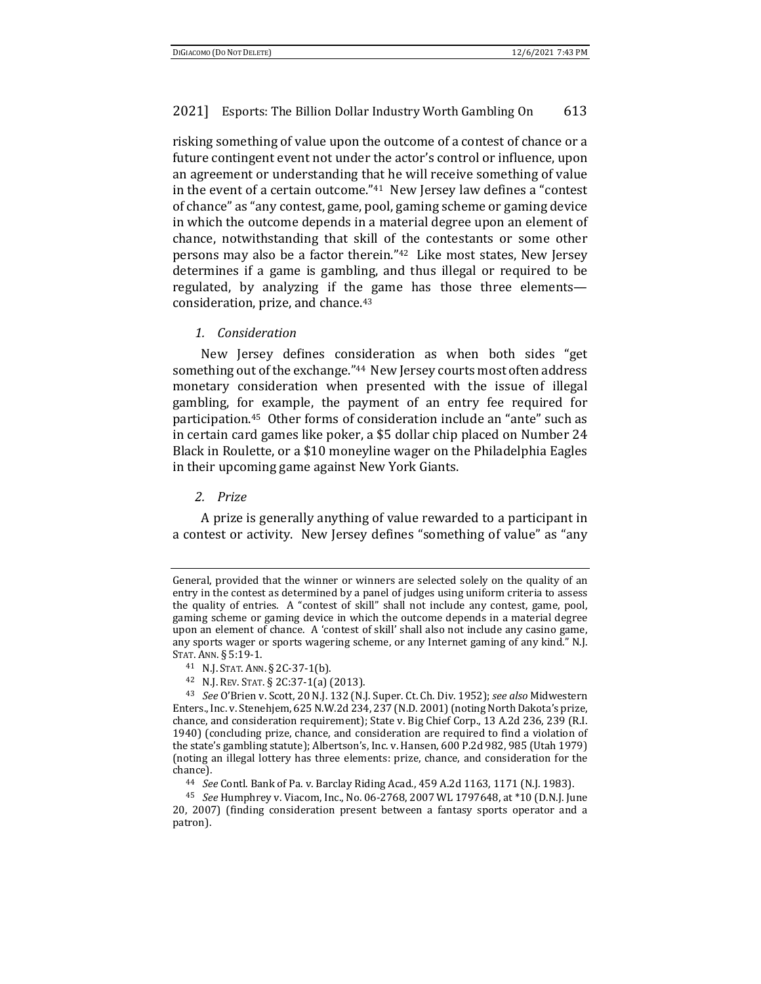risking something of value upon the outcome of a contest of chance or a future contingent event not under the actor's control or influence, upon an agreement or understanding that he will receive something of value in the event of a certain outcome."41 New Jersey law defines a "contest of chance" as "any contest, game, pool, gaming scheme or gaming device in which the outcome depends in a material degree upon an element of chance, notwithstanding that skill of the contestants or some other persons may also be a factor therein."42 Like most states, New Jersey determines if a game is gambling, and thus illegal or required to be regulated, by analyzing if the game has those three elements consideration, prize, and chance.43

1. *Consideration* 

New Jersey defines consideration as when both sides "get something out of the exchange."44 New Jersey courts most often address monetary consideration when presented with the issue of illegal gambling, for example, the payment of an entry fee required for participation.45 Other forms of consideration include an "ante" such as in certain card games like poker, a \$5 dollar chip placed on Number 24 Black in Roulette, or a \$10 moneyline wager on the Philadelphia Eagles in their upcoming game against New York Giants.

*2. Prize* 

A prize is generally anything of value rewarded to a participant in a contest or activity. New Jersey defines "something of value" as "any

General, provided that the winner or winners are selected solely on the quality of an entry in the contest as determined by a panel of judges using uniform criteria to assess the quality of entries. A "contest of skill" shall not include any contest, game, pool, gaming scheme or gaming device in which the outcome depends in a material degree upon an element of chance. A 'contest of skill' shall also not include any casino game, any sports wager or sports wagering scheme, or any Internet gaming of any kind." N.J. STAT. ANN. § 5:19-1. 41 N.J. STAT. ANN. § 2C-37-1(b). 42 N.J. REV. STAT. § 2C:37-1(a) (2013). 43 *See* O'Brien v. Scott, 20 N.J. 132 (N.J. Super. Ct. Ch. Div. 1952); *see also* Midwestern

Enters., Inc. v. Stenehjem, 625 N.W.2d 234, 237 (N.D. 2001) (noting North Dakota's prize, chance, and consideration requirement); State v. Big Chief Corp., 13 A.2d 236, 239 (R.I. 1940) (concluding prize, chance, and consideration are required to find a violation of the state's gambling statute); Albertson's, Inc. v. Hansen, 600 P.2d 982, 985 (Utah 1979) (noting an illegal lottery has three elements: prize, chance, and consideration for the chance). 44 *See* Contl. Bank of Pa. v. Barclay Riding Acad*.*, 459 A.2d 1163, 1171 (N.J. 1983).

<sup>45</sup> *See* Humphrey v. Viacom, Inc., No. 06-2768, 2007 WL 1797648, at \*10 (D.N.J. June 20, 2007) (finding consideration present between a fantasy sports operator and a patron).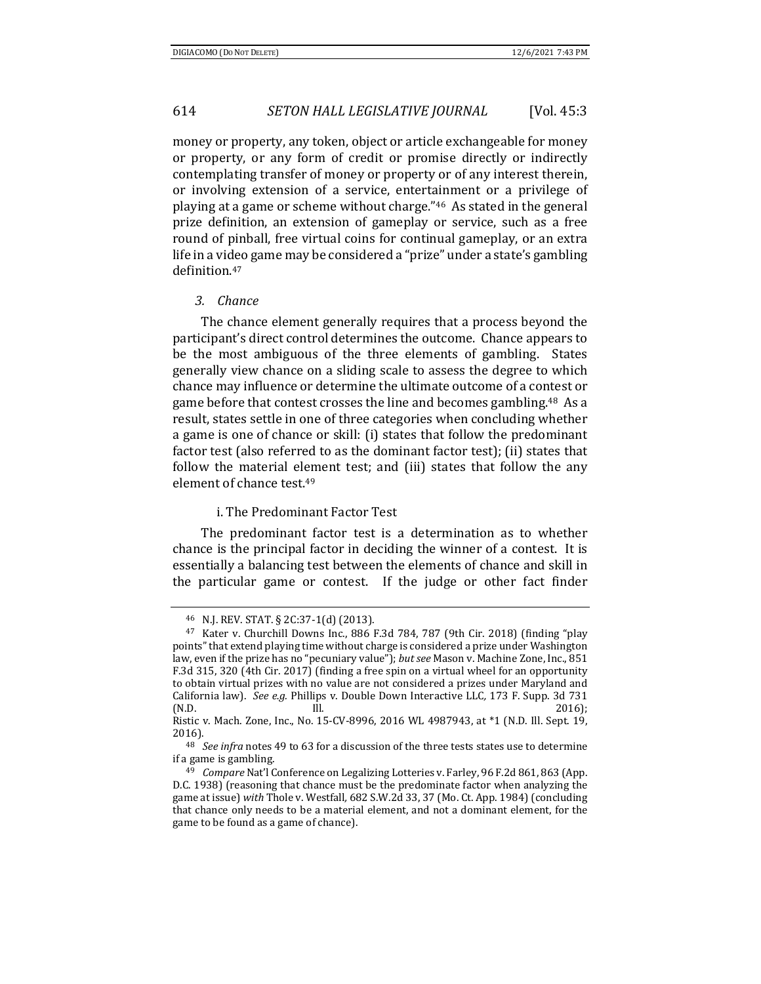money or property, any token, object or article exchangeable for money or property, or any form of credit or promise directly or indirectly contemplating transfer of money or property or of any interest therein, or involving extension of a service, entertainment or a privilege of playing at a game or scheme without charge."46 As stated in the general prize definition, an extension of gameplay or service, such as a free round of pinball, free virtual coins for continual gameplay, or an extra life in a video game may be considered a "prize" under a state's gambling definition.47

#### *3. Chance*

The chance element generally requires that a process beyond the participant's direct control determines the outcome. Chance appears to be the most ambiguous of the three elements of gambling. States generally view chance on a sliding scale to assess the degree to which chance may influence or determine the ultimate outcome of a contest or game before that contest crosses the line and becomes gambling.48 As a result, states settle in one of three categories when concluding whether a game is one of chance or skill: (i) states that follow the predominant factor test (also referred to as the dominant factor test); (ii) states that follow the material element test; and (iii) states that follow the any element of chance test.49

## i. The Predominant Factor Test

The predominant factor test is a determination as to whether chance is the principal factor in deciding the winner of a contest. It is essentially a balancing test between the elements of chance and skill in the particular game or contest. If the judge or other fact finder

<sup>46</sup> N.J. REV. STAT. § 2C:37-1(d) (2013).

<sup>47</sup> Kater v. Churchill Downs Inc., 886 F.3d 784, 787 (9th Cir. 2018) (finding "play points" that extend playing time without charge is considered a prize under Washington law, even if the prize has no "pecuniary value"); *but see* Mason v. Machine Zone, Inc., 851 F.3d 315, 320 (4th Cir. 2017) (finding a free spin on a virtual wheel for an opportunity to obtain virtual prizes with no value are not considered a prizes under Maryland and California law). *See e.g.* Phillips v. Double Down Interactive LLC*,* 173 F. Supp. 3d 731 (N.D. 2016); Ill. 2016)

Ristic v. Mach. Zone, Inc., No. 15-CV-8996, 2016 WL 4987943, at \*1 (N.D. Ill. Sept. 19, 2016). 48 *See infra* notes 49 to 63 for a discussion of the three tests states use to determine

if a game is gambling. 49 *Compare* Nat'l Conference on Legalizing Lotteries v. Farley, 96 F.2d 861, 863 (App.

D.C. 1938) (reasoning that chance must be the predominate factor when analyzing the game at issue) *with* Thole v. Westfall*,* 682 S.W.2d 33, 37 (Mo. Ct. App. 1984) (concluding that chance only needs to be a material element, and not a dominant element, for the game to be found as a game of chance).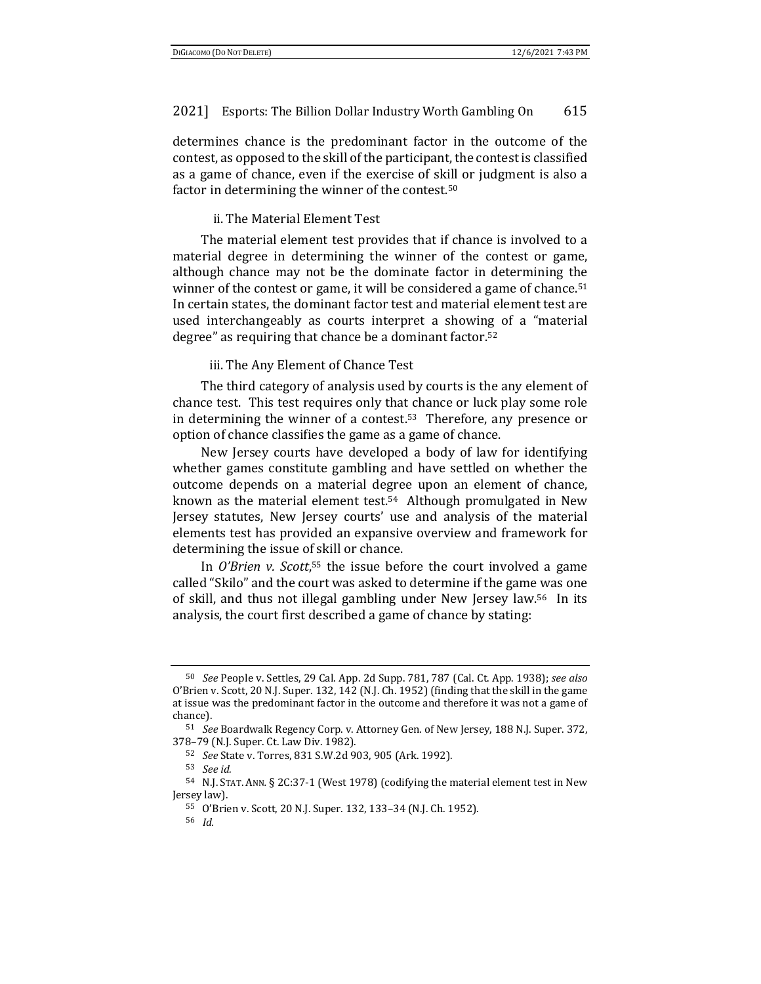determines chance is the predominant factor in the outcome of the contest, as opposed to the skill of the participant, the contest is classified as a game of chance, even if the exercise of skill or judgment is also a factor in determining the winner of the contest.50

ii. The Material Element Test

The material element test provides that if chance is involved to a material degree in determining the winner of the contest or game, although chance may not be the dominate factor in determining the winner of the contest or game, it will be considered a game of chance.<sup>51</sup> In certain states, the dominant factor test and material element test are used interchangeably as courts interpret a showing of a "material degree" as requiring that chance be a dominant factor.52

iii. The Any Element of Chance Test

The third category of analysis used by courts is the any element of chance test. This test requires only that chance or luck play some role in determining the winner of a contest.53 Therefore, any presence or option of chance classifies the game as a game of chance.

New Jersey courts have developed a body of law for identifying whether games constitute gambling and have settled on whether the outcome depends on a material degree upon an element of chance, known as the material element test.54 Although promulgated in New Jersey statutes, New Jersey courts' use and analysis of the material elements test has provided an expansive overview and framework for determining the issue of skill or chance.

In *O'Brien v. Scott*, 55 the issue before the court involved a game called "Skilo" and the court was asked to determine if the game was one of skill, and thus not illegal gambling under New Jersey law.56 In its analysis, the court first described a game of chance by stating:

<sup>50</sup> *See* People v. Settles, 29 Cal. App. 2d Supp. 781, 787 (Cal. Ct. App. 1938); *see also* O'Brien v. Scott, 20 N.J. Super. 132, 142 (N.J. Ch. 1952) (finding that the skill in the game at issue was the predominant factor in the outcome and therefore it was not a game of chance).

<sup>51</sup> *See* Boardwalk Regency Corp. v. Attorney Gen. of New Jersey, 188 N.J. Super. 372, 378–79 (N.J. Super. Ct. Law Div. 1982).

<sup>52</sup> *See* State v. Torres, 831 S.W.2d 903, 905 (Ark. 1992).

<sup>53</sup> *See id.*

<sup>54</sup> N.J. STAT. ANN*.* § 2C:37-1 (West 1978) (codifying the material element test in New Jersey law).

<sup>55</sup> O'Brien v. Scott, 20 N.J. Super. 132, 133–34 (N.J. Ch. 1952).

<sup>56</sup> *Id.*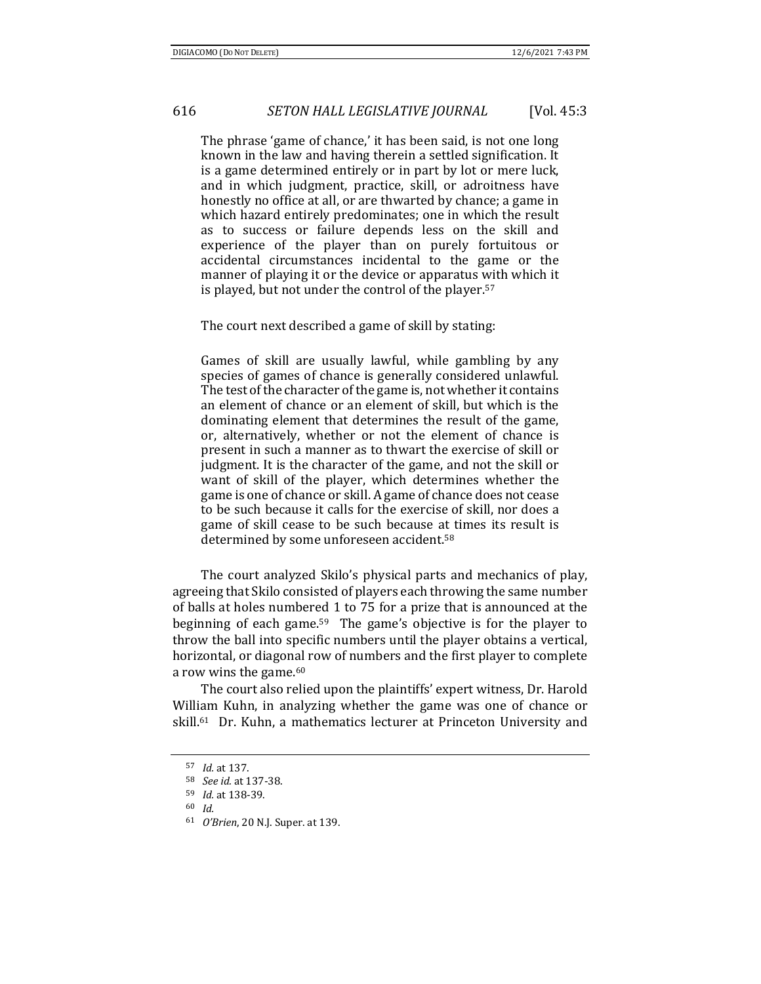The phrase 'game of chance,' it has been said, is not one long known in the law and having therein a settled signification. It is a game determined entirely or in part by lot or mere luck, and in which judgment, practice, skill, or adroitness have honestly no office at all, or are thwarted by chance; a game in which hazard entirely predominates; one in which the result as to success or failure depends less on the skill and experience of the player than on purely fortuitous or accidental circumstances incidental to the game or the manner of playing it or the device or apparatus with which it is played, but not under the control of the player.57

The court next described a game of skill by stating:

Games of skill are usually lawful, while gambling by any species of games of chance is generally considered unlawful. The test of the character of the game is, not whether it contains an element of chance or an element of skill, but which is the dominating element that determines the result of the game, or, alternatively, whether or not the element of chance is present in such a manner as to thwart the exercise of skill or judgment. It is the character of the game, and not the skill or want of skill of the player, which determines whether the game is one of chance or skill. A game of chance does not cease to be such because it calls for the exercise of skill, nor does a game of skill cease to be such because at times its result is determined by some unforeseen accident.58

The court analyzed Skilo's physical parts and mechanics of play, agreeing that Skilo consisted of players each throwing the same number of balls at holes numbered 1 to 75 for a prize that is announced at the beginning of each game.59 The game's objective is for the player to throw the ball into specific numbers until the player obtains a vertical, horizontal, or diagonal row of numbers and the first player to complete a row wins the game.60

The court also relied upon the plaintiffs' expert witness, Dr. Harold William Kuhn, in analyzing whether the game was one of chance or skill.61 Dr. Kuhn, a mathematics lecturer at Princeton University and

<sup>61</sup> *O'Brien*, 20 N.J. Super. at 139.

<sup>57</sup> *Id.* at 137.

<sup>58</sup> *See id.* at 137-38.

<sup>59</sup> *Id.* at 138-39. 60 *Id.*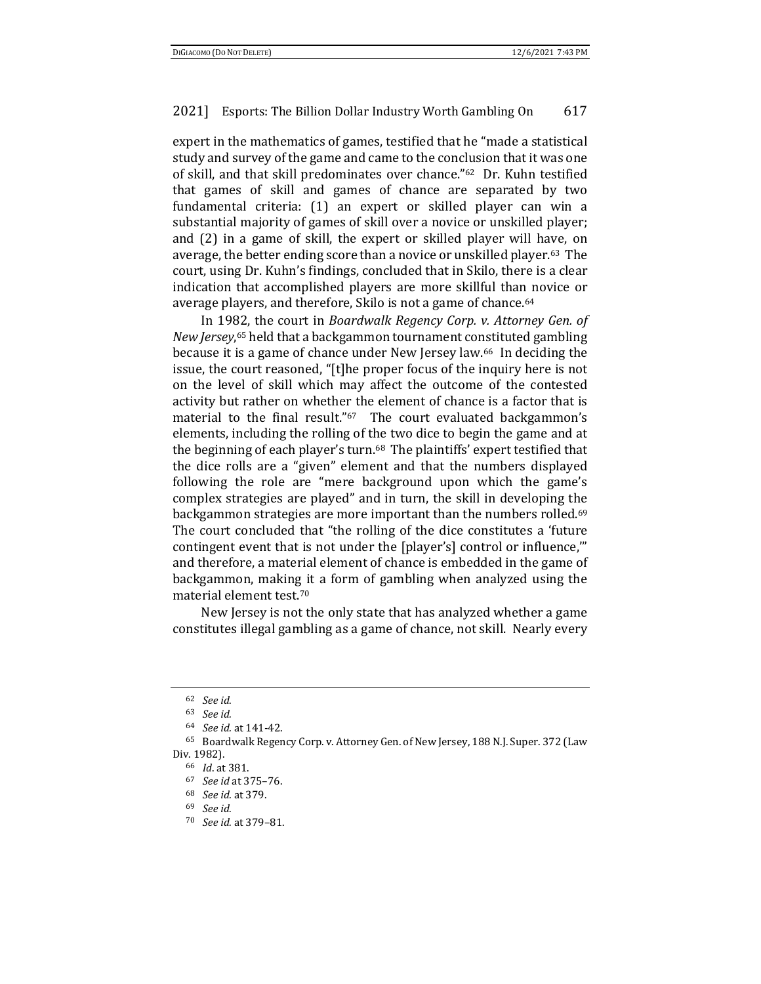expert in the mathematics of games, testified that he "made a statistical study and survey of the game and came to the conclusion that it was one of skill, and that skill predominates over chance."62 Dr. Kuhn testified that games of skill and games of chance are separated by two fundamental criteria: (1) an expert or skilled player can win a substantial majority of games of skill over a novice or unskilled player; and (2) in a game of skill, the expert or skilled player will have, on average, the better ending score than a novice or unskilled player.63 The court, using Dr. Kuhn's findings, concluded that in Skilo, there is a clear indication that accomplished players are more skillful than novice or average players, and therefore, Skilo is not a game of chance.64

In 1982, the court in *Boardwalk Regency Corp. v. Attorney Gen. of New Jersey*, 65 held that a backgammon tournament constituted gambling because it is a game of chance under New Jersey law.66 In deciding the issue, the court reasoned, "[t]he proper focus of the inquiry here is not on the level of skill which may affect the outcome of the contested activity but rather on whether the element of chance is a factor that is material to the final result."<sup>67</sup> The court evaluated backgammon's elements, including the rolling of the two dice to begin the game and at the beginning of each player's turn.<sup>68</sup> The plaintiffs' expert testified that the dice rolls are a "given" element and that the numbers displayed following the role are "mere background upon which the game's complex strategies are played" and in turn, the skill in developing the backgammon strategies are more important than the numbers rolled.<sup>69</sup> The court concluded that "the rolling of the dice constitutes a 'future contingent event that is not under the [player's] control or influence,'" and therefore, a material element of chance is embedded in the game of backgammon, making it a form of gambling when analyzed using the material element test.70

New Jersey is not the only state that has analyzed whether a game constitutes illegal gambling as a game of chance, not skill. Nearly every

<sup>62</sup> *See id*. 63 *See id.*

<sup>64</sup> *See id.* at 141-42.

<sup>65</sup> Boardwalk Regency Corp. v. Attorney Gen. of New Jersey, 188 N.J. Super. 372 (Law Div. 1982). 66 *Id*. at 381. 67 *See id* at 375–76. 68 *See id.* at 379. 69 *See id.*

<sup>70</sup> *See id.* at 379–81.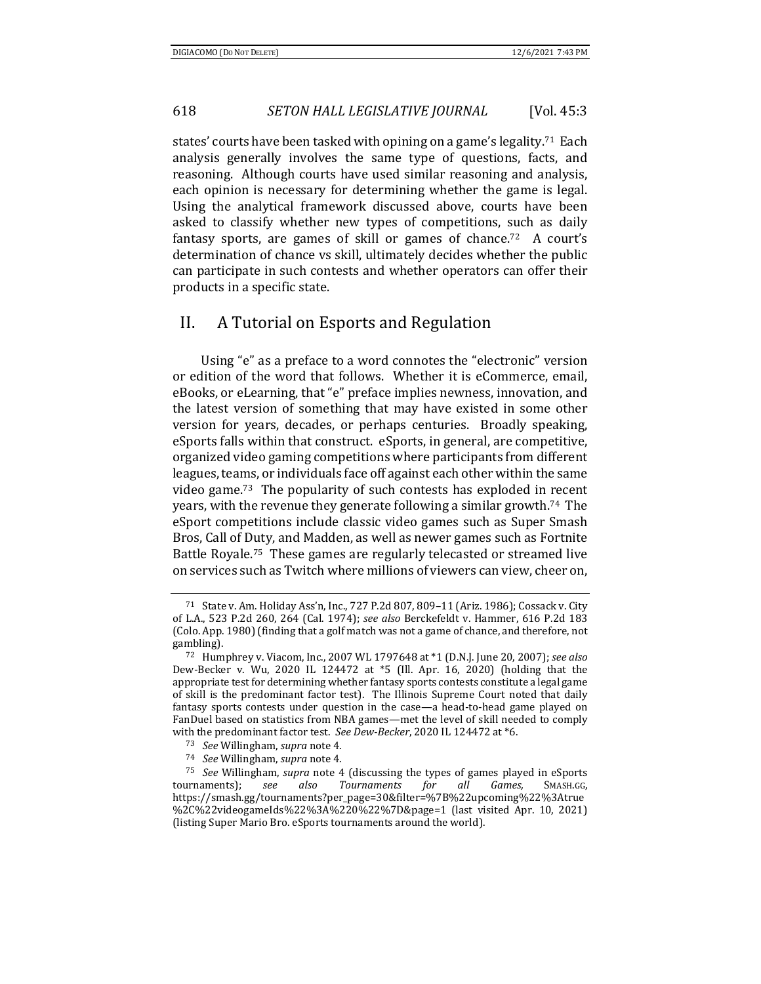states' courts have been tasked with opining on a game's legality.71 Each analysis generally involves the same type of questions, facts, and reasoning. Although courts have used similar reasoning and analysis, each opinion is necessary for determining whether the game is legal. Using the analytical framework discussed above, courts have been asked to classify whether new types of competitions, such as daily fantasy sports, are games of skill or games of chance.72 A court's determination of chance vs skill, ultimately decides whether the public can participate in such contests and whether operators can offer their products in a specific state.

## II. A Tutorial on Esports and Regulation

Using "e" as a preface to a word connotes the "electronic" version or edition of the word that follows. Whether it is eCommerce, email, eBooks, or eLearning, that "e" preface implies newness, innovation, and the latest version of something that may have existed in some other version for years, decades, or perhaps centuries. Broadly speaking, eSports falls within that construct. eSports, in general, are competitive, organized video gaming competitions where participants from different leagues, teams, or individuals face off against each other within the same video game.73 The popularity of such contests has exploded in recent years, with the revenue they generate following a similar growth.74 The eSport competitions include classic video games such as Super Smash Bros, Call of Duty, and Madden, as well as newer games such as Fortnite Battle Royale.75 These games are regularly telecasted or streamed live on services such as Twitch where millions of viewers can view, cheer on,

<sup>71</sup> State v. Am. Holiday Ass'n, Inc., 727 P.2d 807, 809–11 (Ariz. 1986); Cossack v. City of L.A., 523 P.2d 260, 264 (Cal. 1974); *see also* Berckefeldt v. Hammer, 616 P.2d 183 (Colo. App. 1980) (finding that a golf match was not a game of chance, and therefore, not gambling). 72 Humphrey v. Viacom, Inc., 2007 WL 1797648 at \*1 (D.N.J. June 20, 2007); *see also*

Dew-Becker v. Wu, 2020 IL 124472 at \*5 (Ill. Apr. 16, 2020) (holding that the appropriate test for determining whether fantasy sports contests constitute a legal game of skill is the predominant factor test). The Illinois Supreme Court noted that daily fantasy sports contests under question in the case—a head-to-head game played on FanDuel based on statistics from NBA games—met the level of skill needed to comply with the predominant factor test. *See Dew-Becker*, 2020 IL 124472 at \*6.<br><sup>73</sup> *See* Willingham, *supra* note 4.<br><sup>74</sup> *See* Willingham, *supra* note 4.

<sup>75</sup> *See* Willingham, *supra* note 4 (discussing the types of games played in eSports tournaments); *see also Tournaments for all Games,* SMASH.GG, https://smash.gg/tournaments?per\_page=30&filter=%7B%22upcoming%22%3Atrue %2C%22videogameIds%22%3A%220%22%7D&page=1 (last visited Apr. 10, 2021) (listing Super Mario Bro. eSports tournaments around the world).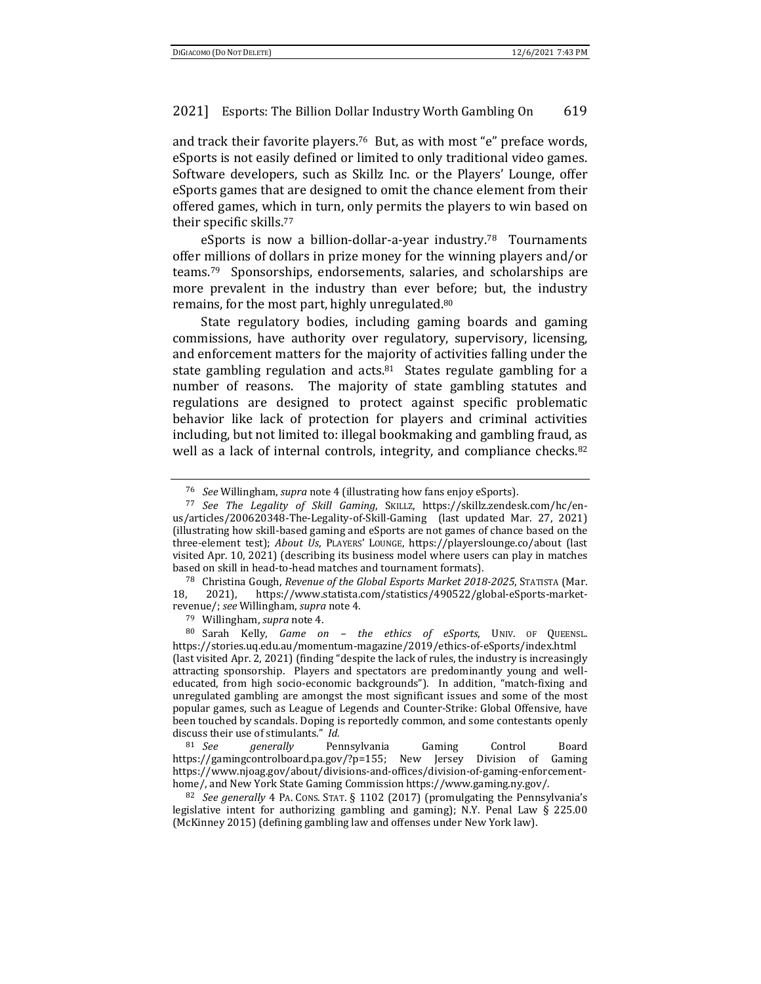and track their favorite players.76 But, as with most "e" preface words, eSports is not easily defined or limited to only traditional video games. Software developers, such as Skillz Inc. or the Players' Lounge, offer eSports games that are designed to omit the chance element from their offered games, which in turn, only permits the players to win based on their specific skills.77

eSports is now a billion-dollar-a-year industry.78 Tournaments offer millions of dollars in prize money for the winning players and/or teams.79 Sponsorships, endorsements, salaries, and scholarships are more prevalent in the industry than ever before; but, the industry remains, for the most part, highly unregulated.80

State regulatory bodies, including gaming boards and gaming commissions, have authority over regulatory, supervisory, licensing, and enforcement matters for the majority of activities falling under the state gambling regulation and acts.<sup>81</sup> States regulate gambling for a number of reasons. The majority of state gambling statutes and regulations are designed to protect against specific problematic behavior like lack of protection for players and criminal activities including, but not limited to: illegal bookmaking and gambling fraud, as well as a lack of internal controls, integrity, and compliance checks.<sup>82</sup>

<sup>76</sup> *See* Willingham, *supra* note 4 (illustrating how fans enjoy eSports). 77 *See The Legality of Skill Gaming*, SKILLZ, https://skillz.zendesk.com/hc/enus/articles/200620348-The-Legality-of-Skill-Gaming (last updated Mar. 27, 2021) (illustrating how skill-based gaming and eSports are not games of chance based on the three-element test); *About Us*, PLAYERS' LOUNGE, https://playerslounge.co/about (last visited Apr. 10, 2021) (describing its business model where users can play in matches

based on skill in head-to-head matches and tournament formats). 78 Christina Gough, *Revenue of the Global Esports Market <sup>2018</sup>‐2025*, STATISTA (Mar. 18, 2021), https://www.statista.com/statistics/490522/global-eSports-marketrevenue/; *see* Willingham, *supra* note 4. 79 Willingham, *supra* note 4. 80 Sarah Kelly, *Game on – the ethics of eSports*, UNIV. OF QUEENSL.

https://stories.uq.edu.au/momentum-magazine/2019/ethics-of-eSports/index.html (last visited Apr. 2, 2021) (finding "despite the lack of rules, the industry is increasingly attracting sponsorship. Players and spectators are predominantly young and welleducated, from high socio-economic backgrounds"). In addition, "match-fixing and unregulated gambling are amongst the most significant issues and some of the most popular games, such as League of Legends and Counter-Strike: Global Offensive, have been touched by scandals. Doping is reportedly common, and some contestants openly discuss their use of stimulants." *Id.*

<sup>81</sup> *See generally* Pennsylvania Gaming Control Board https://gamingcontrolboard.pa.gov/?p=155; New Jersey Division of Gaming https://www.njoag.gov/about/divisions-and-offices/division-of-gaming-enforcementhome/, and New York State Gaming Commission https://www.gaming.ny.gov/. 82 *See generally* 4 PA. CONS. STAT. § 1102 (2017) (promulgating the Pennsylvania's

legislative intent for authorizing gambling and gaming); N.Y. Penal Law  $\S$  225.00 (McKinney 2015) (defining gambling law and offenses under New York law).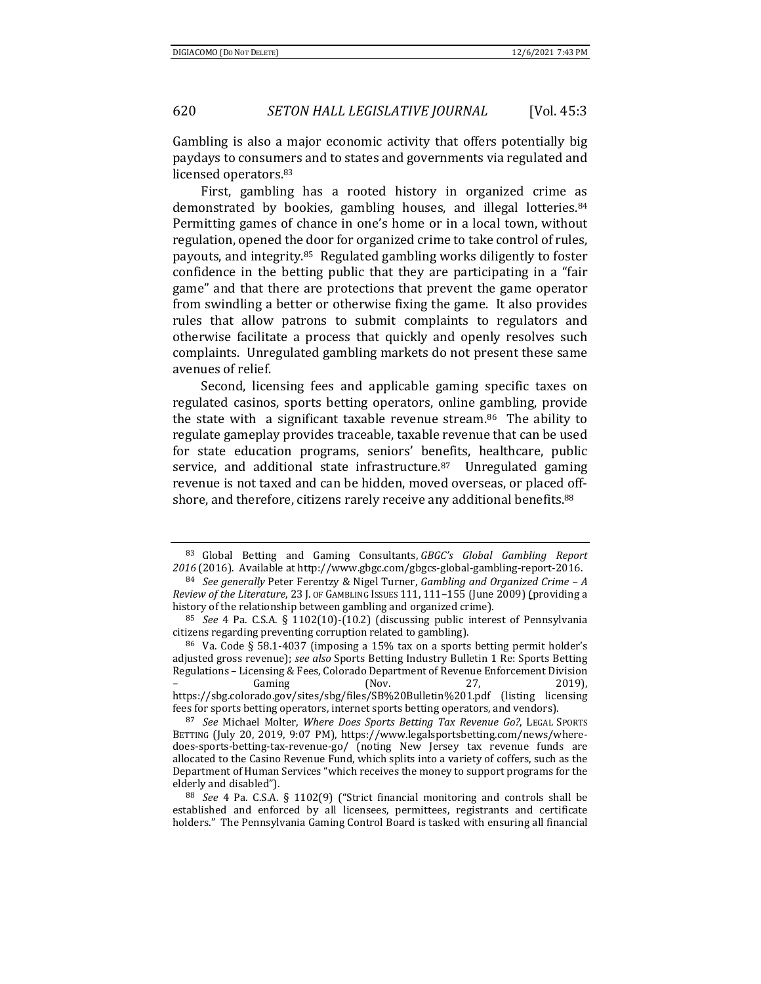Gambling is also a major economic activity that offers potentially big paydays to consumers and to states and governments via regulated and licensed operators.83

First, gambling has a rooted history in organized crime as demonstrated by bookies, gambling houses, and illegal lotteries.84 Permitting games of chance in one's home or in a local town, without regulation, opened the door for organized crime to take control of rules, payouts, and integrity.85 Regulated gambling works diligently to foster confidence in the betting public that they are participating in a "fair game" and that there are protections that prevent the game operator from swindling a better or otherwise fixing the game. It also provides rules that allow patrons to submit complaints to regulators and otherwise facilitate a process that quickly and openly resolves such complaints. Unregulated gambling markets do not present these same avenues of relief.

Second, licensing fees and applicable gaming specific taxes on regulated casinos, sports betting operators, online gambling, provide the state with a significant taxable revenue stream.86 The ability to regulate gameplay provides traceable, taxable revenue that can be used for state education programs, seniors' benefits, healthcare, public service, and additional state infrastructure.87 Unregulated gaming revenue is not taxed and can be hidden, moved overseas, or placed offshore, and therefore, citizens rarely receive any additional benefits.<sup>88</sup>

<sup>83</sup> Global Betting and Gaming Consultants, *GBGC's Global Gambling Report*

*<sup>2016</sup>* (2016). Available at http://www.gbgc.com/gbgcs-global-gambling-report-2016. 84 *See generally* Peter Ferentzy & Nigel Turner, *Gambling and Organized Crime – <sup>A</sup> Review of the Literature*, 23 J. OF GAMBLING ISSUES 111, 111–155 (June 2009) (providing a history of the relationship between gambling and organized crime).

<sup>85</sup> *See* 4 Pa. C.S.A. § 1102(10)-(10.2) (discussing public interest of Pennsylvania citizens regarding preventing corruption related to gambling).<br><sup>86</sup> Va. Code § 58.1-4037 (imposing a 15% tax on a sports betting permit holder's

adjusted gross revenue); *see also* Sports Betting Industry Bulletin 1 Re: Sports Betting Regulations – Licensing & Fees, Colorado Department of Revenue Enforcement Division – Gaming (Nov. 27, 2019), https://sbg.colorado.gov/sites/sbg/files/SB%20Bulletin%201.pdf (listing licensing

fees for sports betting operators, internet sports betting operators, and vendors). 87 *See* Michael Molter, *Where Does Sports Betting Tax Revenue Go?*, LEGAL SPORTS BETTING (July 20, 2019, 9:07 PM), https://www.legalsportsbetting.com/news/wheredoes-sports-betting-tax-revenue-go/ (noting New Jersey tax revenue funds are allocated to the Casino Revenue Fund, which splits into a variety of coffers, such as the Department of Human Services "which receives the money to support programs for the elderly and disabled"). 88 *See* 4 Pa. C.S.A. § 1102(9) ("Strict financial monitoring and controls shall be

established and enforced by all licensees, permittees, registrants and certificate holders." The Pennsylvania Gaming Control Board is tasked with ensuring all financial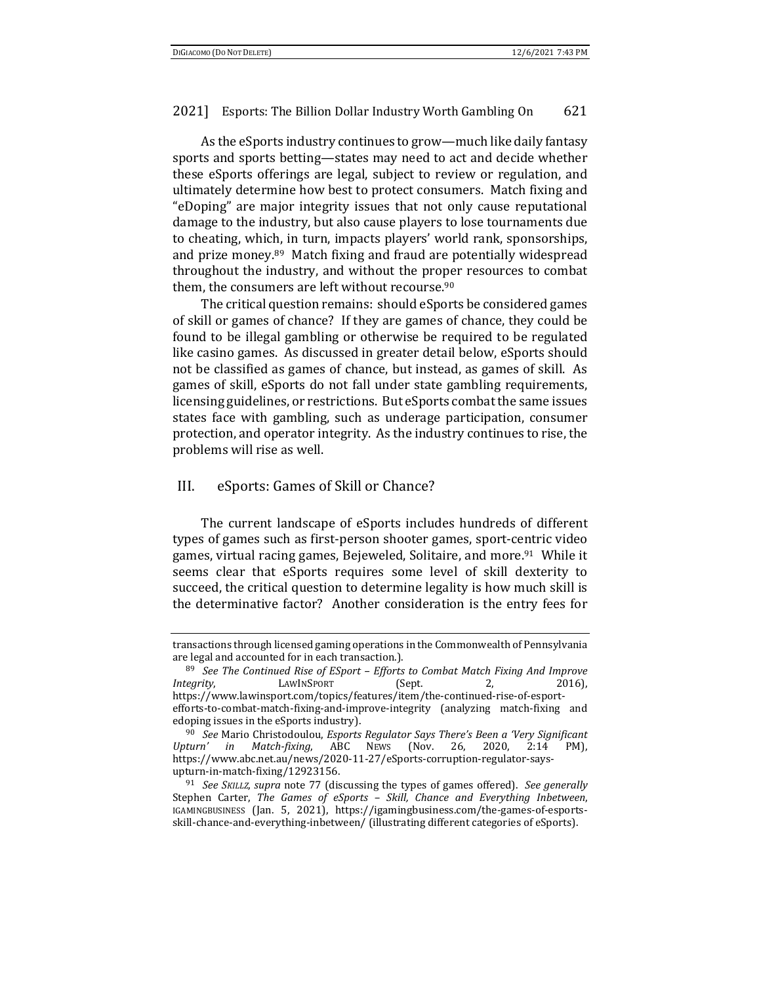As the eSports industry continues to grow—much like daily fantasy sports and sports betting—states may need to act and decide whether these eSports offerings are legal, subject to review or regulation, and ultimately determine how best to protect consumers. Match fixing and "eDoping" are major integrity issues that not only cause reputational damage to the industry, but also cause players to lose tournaments due to cheating, which, in turn, impacts players' world rank, sponsorships, and prize money.89 Match fixing and fraud are potentially widespread throughout the industry, and without the proper resources to combat them, the consumers are left without recourse.90

The critical question remains: should eSports be considered games of skill or games of chance? If they are games of chance, they could be found to be illegal gambling or otherwise be required to be regulated like casino games. As discussed in greater detail below, eSports should not be classified as games of chance, but instead, as games of skill. As games of skill, eSports do not fall under state gambling requirements, licensing guidelines, or restrictions. But eSports combat the same issues states face with gambling, such as underage participation, consumer protection, and operator integrity. As the industry continues to rise, the problems will rise as well.

### III. eSports: Games of Skill or Chance?

The current landscape of eSports includes hundreds of different types of games such as first-person shooter games, sport-centric video games, virtual racing games, Bejeweled, Solitaire, and more.91 While it seems clear that eSports requires some level of skill dexterity to succeed, the critical question to determine legality is how much skill is the determinative factor? Another consideration is the entry fees for

transactions through licensed gaming operations in the Commonwealth of Pennsylvania

<sup>&</sup>lt;sup>89</sup> See The Continued Rise of ESport - Efforts to Combat Match Fixing And Improve *Integrity*, **LAWINSPORT** (Sept. 2, 2016), https://www.lawinsport.com/topics/features/item/the-continued-rise-of-esportefforts-to-combat-match-fixing-and-improve-integrity (analyzing match-fixing and edoping issues in the eSports industry). 90 *See* Mario Christodoulou, *Esports Regulator Says There's Been <sup>a</sup> 'Very Significant*

*Upturn' in Match‐fixing*, ABC NEWS (Nov. 26, 2020, 2:14 PM), https://www.abc.net.au/news/2020-11-27/eSports-corruption-regulator-saysupturn-in-match-fixing/12923156. 91 *See SKILLZ*, *supra* note 77 (discussing the types of games offered). *See generally*

Stephen Carter, *The Games of eSports – Skill, Chance and Everything Inbetween*, IGAMINGBUSINESS (Jan. 5, 2021), https://igamingbusiness.com/the-games-of-esportsskill-chance-and-everything-inbetween/ (illustrating different categories of eSports).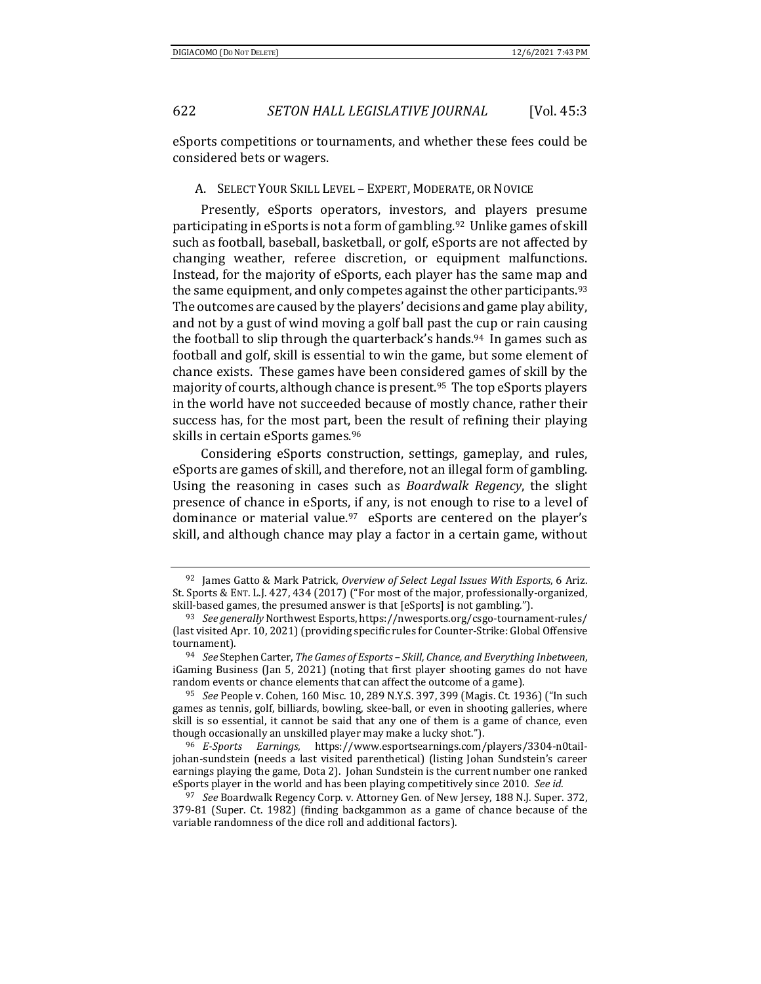eSports competitions or tournaments, and whether these fees could be considered bets or wagers.

A. SELECT YOUR SKILL LEVEL – EXPERT, MODERATE, OR NOVICE

Presently, eSports operators, investors, and players presume participating in eSports is not a form of gambling.92 Unlike games of skill such as football, baseball, basketball, or golf, eSports are not affected by changing weather, referee discretion, or equipment malfunctions. Instead, for the majority of eSports, each player has the same map and the same equipment, and only competes against the other participants.<sup>93</sup> The outcomes are caused by the players' decisions and game play ability, and not by a gust of wind moving a golf ball past the cup or rain causing the football to slip through the quarterback's hands.<sup>94</sup> In games such as football and golf, skill is essential to win the game, but some element of chance exists. These games have been considered games of skill by the majority of courts, although chance is present.<sup>95</sup> The top eSports players in the world have not succeeded because of mostly chance, rather their success has, for the most part, been the result of refining their playing skills in certain eSports games.<sup>96</sup>

Considering eSports construction, settings, gameplay, and rules, eSports are games of skill, and therefore, not an illegal form of gambling. Using the reasoning in cases such as *Boardwalk Regency*, the slight presence of chance in eSports, if any, is not enough to rise to a level of dominance or material value.97 eSports are centered on the player's skill, and although chance may play a factor in a certain game, without

<sup>92</sup> James Gatto & Mark Patrick, *Overview of Select Legal Issues With Esports*, 6 Ariz. St. Sports & ENT. L.J. 427, 434 (2017) ("For most of the major, professionally-organized, skill-based games, the presumed answer is that [eSports] is not gambling.").

<sup>&</sup>lt;sup>93</sup> See generally Northwest Esports, https://nwesports.org/csgo-tournament-rules/ (last visited Apr. 10, 2021) (providing specific rules for Counter-Strike: Global Offensive tournament). 94 *See* Stephen Carter, *The Games of Esports – Skill, Chance, and Everything Inbetween*,

iGaming Business (Jan 5, 2021) (noting that first player shooting games do not have random events or chance elements that can affect the outcome of a game).

<sup>95</sup> *See* People v. Cohen, 160 Misc. 10, 289 N.Y.S. 397, 399 (Magis. Ct. 1936) ("In such games as tennis, golf, billiards, bowling, skee-ball, or even in shooting galleries, where skill is so essential, it cannot be said that any one of them is a game of chance, even though occasionally an unskilled player may make a lucky shot."). 96 *<sup>E</sup>‐Sports Earnings,* https://www.esportsearnings.com/players/3304-n0tail-

johan-sundstein (needs a last visited parenthetical) (listing Johan Sundstein's career earnings playing the game, Dota 2). Johan Sundstein is the current number one ranked eSports player in the world and has been playing competitively since 2010. *See id.*

<sup>97</sup> *See* Boardwalk Regency Corp. v. Attorney Gen. of New Jersey, 188 N.J. Super. 372, 379-81 (Super. Ct. 1982) (finding backgammon as a game of chance because of the variable randomness of the dice roll and additional factors).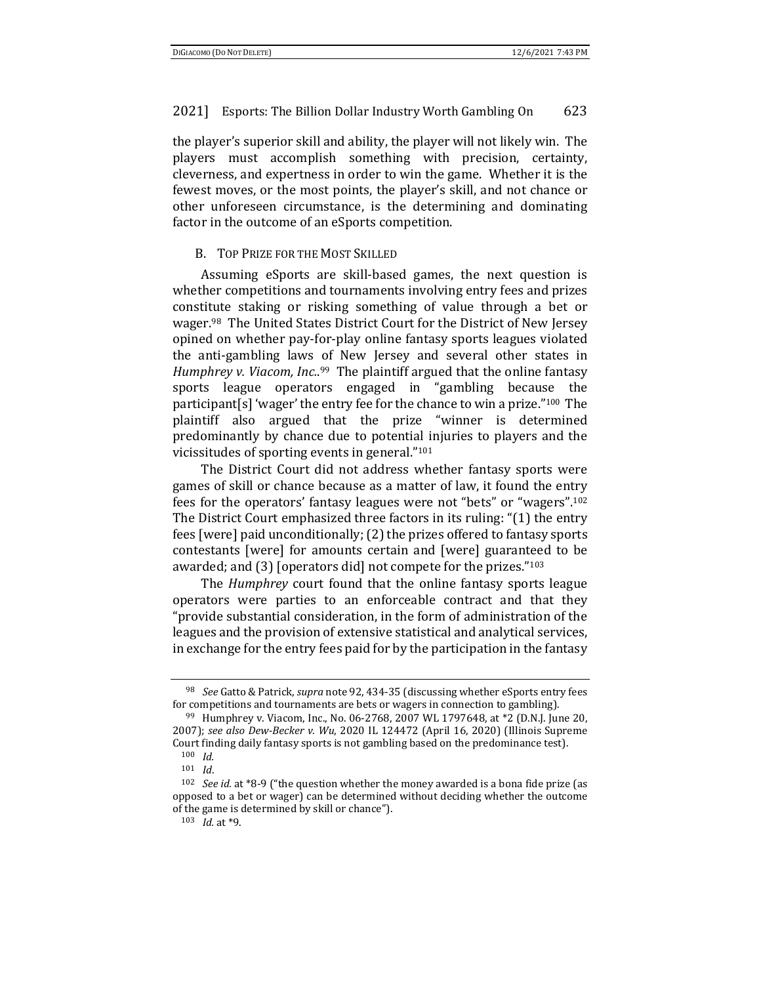the player's superior skill and ability, the player will not likely win. The players must accomplish something with precision, certainty, cleverness, and expertness in order to win the game. Whether it is the fewest moves, or the most points, the player's skill, and not chance or other unforeseen circumstance, is the determining and dominating factor in the outcome of an eSports competition.

#### B. TOP PRIZE FOR THE MOST SKILLED

Assuming eSports are skill-based games, the next question is whether competitions and tournaments involving entry fees and prizes constitute staking or risking something of value through a bet or wager.98 The United States District Court for the District of New Jersey opined on whether pay-for-play online fantasy sports leagues violated the anti-gambling laws of New Jersey and several other states in *Humphrey v. Viacom, Inc.*. 99 The plaintiff argued that the online fantasy sports league operators engaged in "gambling because the participant[s] 'wager' the entry fee for the chance to win a prize."100 The plaintiff also argued that the prize "winner is determined predominantly by chance due to potential injuries to players and the vicissitudes of sporting events in general."101

The District Court did not address whether fantasy sports were games of skill or chance because as a matter of law, it found the entry fees for the operators' fantasy leagues were not "bets" or "wagers".102 The District Court emphasized three factors in its ruling: "(1) the entry fees [were] paid unconditionally; (2) the prizes offered to fantasy sports contestants [were] for amounts certain and [were] guaranteed to be awarded; and (3) [operators did] not compete for the prizes."103

The *Humphrey* court found that the online fantasy sports league operators were parties to an enforceable contract and that they "provide substantial consideration, in the form of administration of the leagues and the provision of extensive statistical and analytical services, in exchange for the entry fees paid for by the participation in the fantasy

<sup>98</sup> *See* Gatto & Patrick, *supra* note 92, 434-35 (discussing whether eSports entry fees for competitions and tournaments are bets or wagers in connection to gambling). 99 Humphrey v. Viacom, Inc., No. 06-2768, 2007 WL 1797648, at \*2 (D.N.J. June 20,

<sup>2007);</sup> *see also Dew‐Becker v. Wu*, 2020 IL 124472 (April 16, 2020) (Illinois Supreme Court finding daily fantasy sports is not gambling based on the predominance test).  $100 \;\; Id.$ 

<sup>101</sup> *Id*. 102 *See id.* at \*8-9 ("the question whether the money awarded is a bona fide prize (as opposed to a bet or wager) can be determined without deciding whether the outcome of the game is determined by skill or chance").

<sup>103</sup> *Id.* at \*9.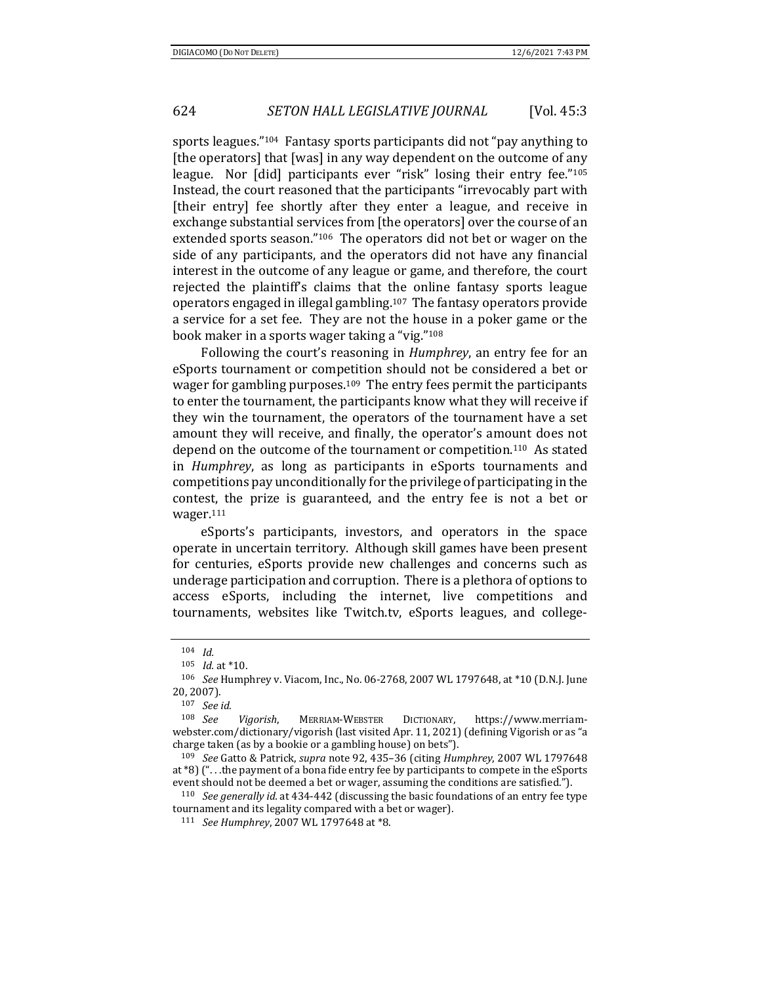sports leagues."104 Fantasy sports participants did not "pay anything to [the operators] that [was] in any way dependent on the outcome of any league. Nor [did] participants ever "risk" losing their entry fee."<sup>105</sup> Instead, the court reasoned that the participants "irrevocably part with [their entry] fee shortly after they enter a league, and receive in exchange substantial services from [the operators] over the course of an extended sports season."106 The operators did not bet or wager on the side of any participants, and the operators did not have any financial interest in the outcome of any league or game, and therefore, the court rejected the plaintiff's claims that the online fantasy sports league operators engaged in illegal gambling.107 The fantasy operators provide a service for a set fee. They are not the house in a poker game or the book maker in a sports wager taking a "vig."108

Following the court's reasoning in *Humphrey*, an entry fee for an eSports tournament or competition should not be considered a bet or wager for gambling purposes.109 The entry fees permit the participants to enter the tournament, the participants know what they will receive if they win the tournament, the operators of the tournament have a set amount they will receive, and finally, the operator's amount does not depend on the outcome of the tournament or competition.110 As stated in *Humphrey*, as long as participants in eSports tournaments and competitions pay unconditionally for the privilege of participating in the contest, the prize is guaranteed, and the entry fee is not a bet or wager.111

eSports's participants, investors, and operators in the space operate in uncertain territory. Although skill games have been present for centuries, eSports provide new challenges and concerns such as underage participation and corruption. There is a plethora of options to access eSports, including the internet, live competitions and tournaments, websites like Twitch.tv, eSports leagues, and college-

tournament and its legality compared with a bet or wager).

<sup>104</sup> *Id.*<br>105 *Id.* at \*10.<br><sup>106</sup> *See* Humphrey v. Viacom, Inc., No. 06-2768, 2007 WL 1797648, at \*10 (D.N.J. June 20, 2007).

<sup>107</sup> *See id.*

<sup>108</sup> *See Vigorish*, MERRIAM-WEBSTER DICTIONARY, https://www.merriamwebster.com/dictionary/vigorish (last visited Apr. 11, 2021) (defining Vigorish or as "a charge taken (as by a bookie or a gambling house) on bets").

<sup>109</sup> *See* Gatto & Patrick, *supra* note 92, 435–36 (citing *Humphrey*, 2007 WL 1797648 at \*8) (". . .the payment of a bona fide entry fee by participants to compete in the eSports event should not be deemed a bet or wager, assuming the conditions are satisfied."). 110 *See generally id.* at 434-442 (discussing the basic foundations of an entry fee type

<sup>111</sup> *See Humphrey*, 2007 WL 1797648 at \*8.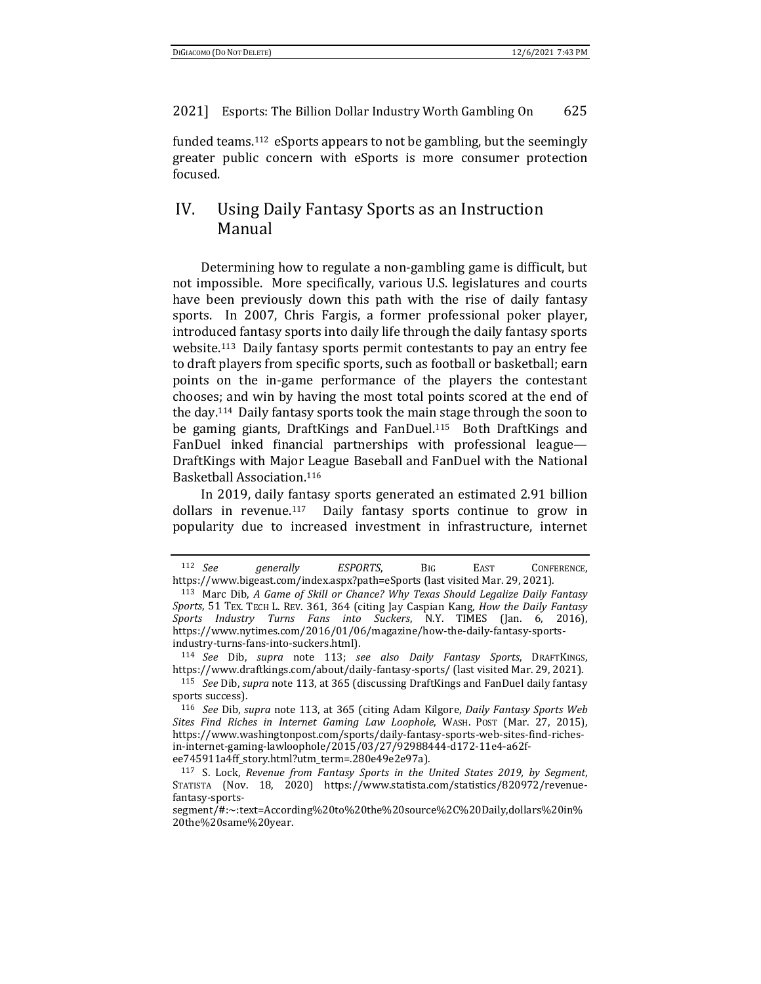funded teams.112 eSports appears to not be gambling, but the seemingly greater public concern with eSports is more consumer protection focused.

# IV. Using Daily Fantasy Sports as an Instruction Manual

Determining how to regulate a non-gambling game is difficult, but not impossible. More specifically, various U.S. legislatures and courts have been previously down this path with the rise of daily fantasy sports. In 2007, Chris Fargis, a former professional poker player, introduced fantasy sports into daily life through the daily fantasy sports website.113 Daily fantasy sports permit contestants to pay an entry fee to draft players from specific sports, such as football or basketball; earn points on the in-game performance of the players the contestant chooses; and win by having the most total points scored at the end of the day.114 Daily fantasy sports took the main stage through the soon to be gaming giants, DraftKings and FanDuel.115 Both DraftKings and FanDuel inked financial partnerships with professional league— DraftKings with Major League Baseball and FanDuel with the National Basketball Association.116

In 2019, daily fantasy sports generated an estimated 2.91 billion dollars in revenue.<sup>117</sup> Daily fantasy sports continue to grow in popularity due to increased investment in infrastructure, internet

<sup>112</sup> *See generally ESPORTS*, BIG EAST CONFERENCE, https://www.bigeast.com/index.aspx?path=eSports (last visited Mar. 29, 2021).<br><sup>113</sup> Marc Dib, A Game of Skill or Chance? Why Texas Should Legalize Daily Fantasy

*Sports*, 51 TEX. TECH L. REV. 361, 364 (citing Jay Caspian Kang, *How the Daily Fantasy Sports Industry Turns Fans into Suckers*, N.Y. TIMES (Jan. 6, 2016), https://www.nytimes.com/2016/01/06/magazine/how-the-daily-fantasy-sportsindustry-turns-fans-into-suckers.html).

<sup>114</sup> *See* Dib, *supra* note 113; *see also Daily Fantasy Sports*, DRAFTKINGS, https://www.draftkings.com/about/daily-fantasy-sports/ (last visited Mar. 29, 2021).

<sup>115</sup> *See* Dib, *supra* note 113, at 365 (discussing DraftKings and FanDuel daily fantasy sports success).

<sup>116</sup> *See* Dib, *supra* note 113, at 365 (citing Adam Kilgore, *Daily Fantasy Sports Web Sites Find Riches in Internet Gaming Law Loophole*, WASH. POST (Mar. 27, 2015), https://www.washingtonpost.com/sports/daily-fantasy-sports-web-sites-find-richesin-internet-gaming-lawloophole/2015/03/27/92988444-d172-11e4-a62fee745911a4ff\_story.html?utm\_term=.280e49e2e97a).

<sup>117</sup> S. Lock, *Revenue from Fantasy Sports in the United States 2019, by Segment*, STATISTA (Nov. 18, 2020) https://www.statista.com/statistics/820972/revenuefantasy-sports-

segment/#:~:text=According%20to%20the%20source%2C%20Daily,dollars%20in% 20the%20same%20year.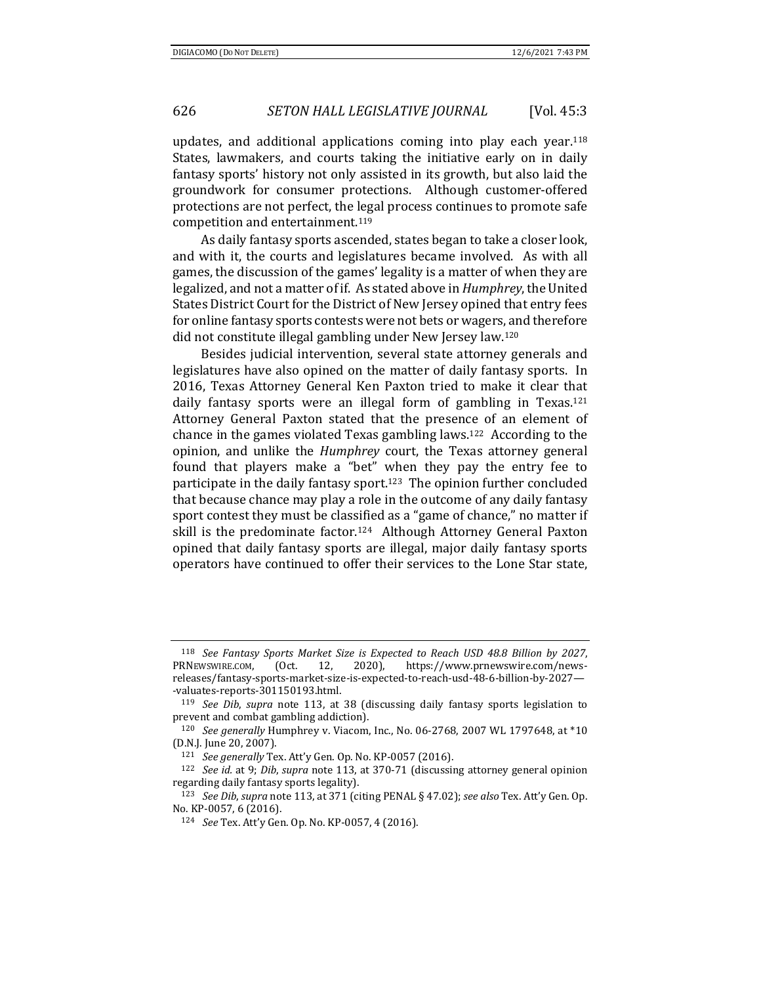updates, and additional applications coming into play each year.118 States, lawmakers, and courts taking the initiative early on in daily fantasy sports' history not only assisted in its growth, but also laid the groundwork for consumer protections. Although customer-offered protections are not perfect, the legal process continues to promote safe competition and entertainment.119

As daily fantasy sports ascended, states began to take a closer look, and with it, the courts and legislatures became involved. As with all games, the discussion of the games' legality is a matter of when they are legalized, and not a matter of if. As stated above in *Humphrey*, the United States District Court for the District of New Jersey opined that entry fees for online fantasy sports contests were not bets or wagers, and therefore did not constitute illegal gambling under New Jersey law.120

Besides judicial intervention, several state attorney generals and legislatures have also opined on the matter of daily fantasy sports. In 2016, Texas Attorney General Ken Paxton tried to make it clear that daily fantasy sports were an illegal form of gambling in Texas.<sup>121</sup> Attorney General Paxton stated that the presence of an element of chance in the games violated Texas gambling laws.122 According to the opinion, and unlike the *Humphrey* court, the Texas attorney general found that players make a "bet" when they pay the entry fee to participate in the daily fantasy sport.123 The opinion further concluded that because chance may play a role in the outcome of any daily fantasy sport contest they must be classified as a "game of chance," no matter if skill is the predominate factor.<sup>124</sup> Although Attorney General Paxton opined that daily fantasy sports are illegal, major daily fantasy sports operators have continued to offer their services to the Lone Star state,

<sup>118</sup> *See Fantasy Sports Market Size is Expected to Reach USD 48.8 Billion by 2027*, PRNEWSWIRE.COM, (Oct. 12, 2020), https://www.prnewswire.com/newsreleases/fantasy-sports-market-size-is-expected-to-reach-usd-48-6-billion-by-2027— -valuates-reports-301150193.html.

<sup>119</sup> *See Dib*, *supra* note 113, at 38 (discussing daily fantasy sports legislation to prevent and combat gambling addiction).

<sup>120</sup> *See generally* Humphrey v. Viacom, Inc., No. 06-2768, 2007 WL 1797648, at \*10 (D.N.J. June 20, 2007).

<sup>121</sup> *See generally* Tex. Att'y Gen. Op. No. KP-0057 (2016).

<sup>122</sup> *See id.* at 9; *Dib*, *supra* note 113, at 370-71 (discussing attorney general opinion regarding daily fantasy sports legality).

<sup>123</sup> *See Dib*, *supra* note 113, at 371 (citing PENAL § 47.02); *see also* Tex. Att'y Gen. Op. No. KP-0057, 6 (2016).

<sup>124</sup> *See* Tex. Att'y Gen. Op. No. KP-0057, 4 (2016).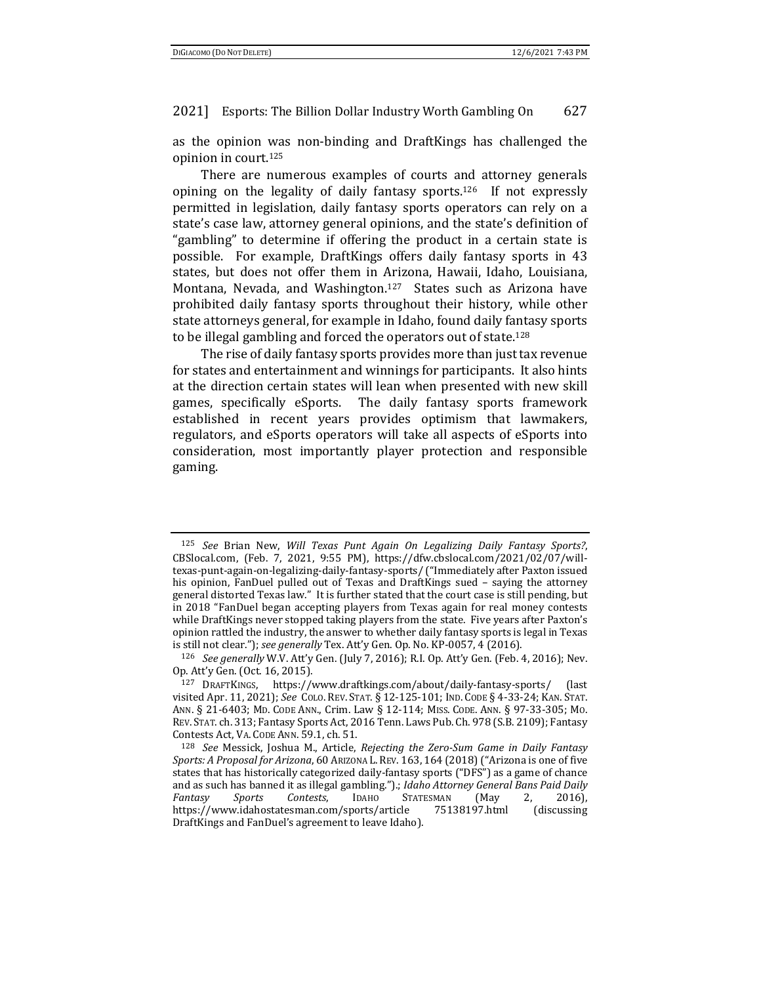as the opinion was non-binding and DraftKings has challenged the opinion in court.125

There are numerous examples of courts and attorney generals opining on the legality of daily fantasy sports.126 If not expressly permitted in legislation, daily fantasy sports operators can rely on a state's case law, attorney general opinions, and the state's definition of "gambling" to determine if offering the product in a certain state is possible. For example, DraftKings offers daily fantasy sports in 43 states, but does not offer them in Arizona, Hawaii, Idaho, Louisiana, Montana, Nevada, and Washington.127 States such as Arizona have prohibited daily fantasy sports throughout their history, while other state attorneys general, for example in Idaho, found daily fantasy sports to be illegal gambling and forced the operators out of state.128

The rise of daily fantasy sports provides more than just tax revenue for states and entertainment and winnings for participants. It also hints at the direction certain states will lean when presented with new skill games, specifically eSports. The daily fantasy sports framework established in recent years provides optimism that lawmakers, regulators, and eSports operators will take all aspects of eSports into consideration, most importantly player protection and responsible gaming.

<sup>125</sup> *See* Brian New, *Will Texas Punt Again On Legalizing Daily Fantasy Sports?*, CBSlocal.com, (Feb. 7, 2021, 9:55 PM), https://dfw.cbslocal.com/2021/02/07/willtexas-punt-again-on-legalizing-daily-fantasy-sports/ ("Immediately after Paxton issued his opinion, FanDuel pulled out of Texas and DraftKings sued – saying the attorney general distorted Texas law." It is further stated that the court case is still pending, but in 2018 "FanDuel began accepting players from Texas again for real money contests while DraftKings never stopped taking players from the state. Five years after Paxton's opinion rattled the industry, the answer to whether daily fantasy sports is legal in Texas is still not clear."); *see generally* Tex. Att'y Gen. Op. No. KP-0057, 4 (2016). 126 *See generally* W.V. Att'y Gen. (July 7, 2016); R.I. Op. Att'y Gen. (Feb. 4, 2016); Nev.

Op. Att'y Gen. (Oct. 16, 2015).

<sup>127</sup> DRAFTKINGS, https://www.draftkings.com/about/daily-fantasy-sports/ (last visited Apr. 11, 2021); *See* COLO. REV. STAT. § 12-125-101; IND. CODE § 4-33-24; KAN. STAT. ANN. § 21-6403; MD. CODE ANN., Crim. Law § 12-114; MISS. CODE. ANN. § 97-33-305; MO. REV. STAT. ch. 313; Fantasy Sports Act, 2016 Tenn. Laws Pub. Ch. 978 (S.B. 2109); Fantasy Contests Act, VA. CODE ANN. 59.1, ch. 51. 128 *See* Messick, Joshua M., Article, *Rejecting the Zero‐Sum Game in Daily Fantasy*

*Sports: A Proposal for Arizona*, 60 ARIZONA L.REV. 163, 164 (2018) ("Arizona is one of five states that has historically categorized daily-fantasy sports ("DFS") as a game of chance and as such has banned it as illegal gambling.").; *Idaho Attorney General Bans Paid Daily Fantasy Sports Contests*, IDAHO STATESMAN (May 2, 2016), https://www.idahostatesman.com/sports/article 75138197.html (discussing DraftKings and FanDuel's agreement to leave Idaho).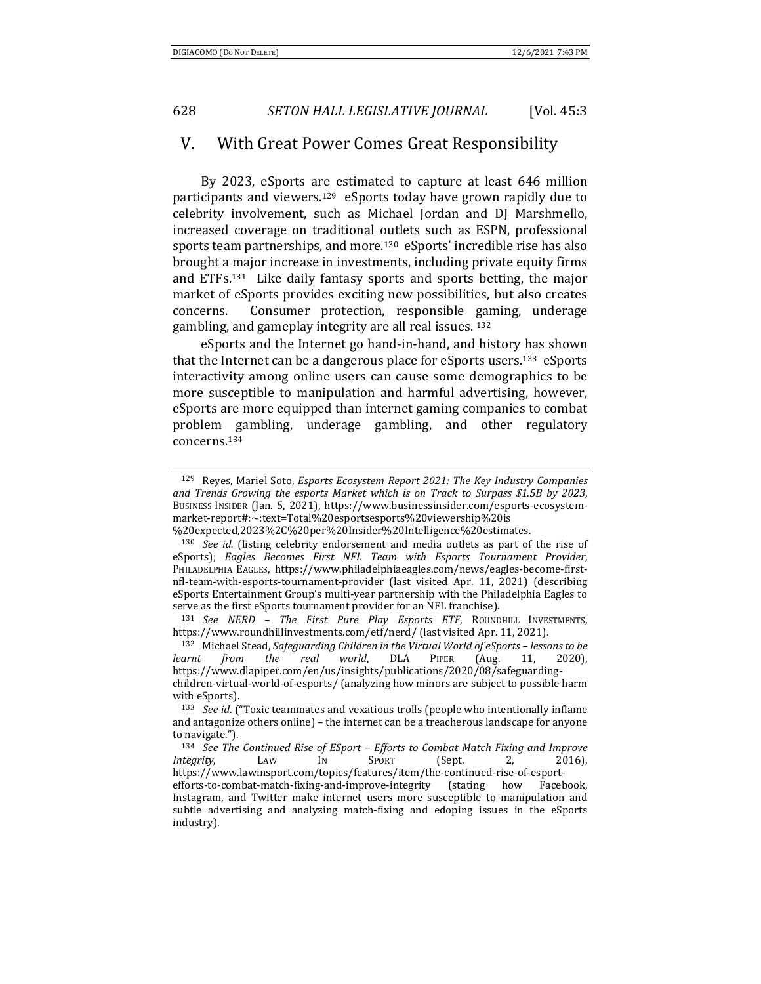## V. With Great Power Comes Great Responsibility

By 2023, eSports are estimated to capture at least 646 million participants and viewers.<sup>129</sup> eSports today have grown rapidly due to celebrity involvement, such as Michael Jordan and DJ Marshmello, increased coverage on traditional outlets such as ESPN, professional sports team partnerships, and more.130 eSports' incredible rise has also brought a major increase in investments, including private equity firms and ETFs.131 Like daily fantasy sports and sports betting, the major market of eSports provides exciting new possibilities, but also creates concerns. Consumer protection, responsible gaming, underage gambling, and gameplay integrity are all real issues. 132

eSports and the Internet go hand-in-hand, and history has shown that the Internet can be a dangerous place for eSports users.133 eSports interactivity among online users can cause some demographics to be more susceptible to manipulation and harmful advertising, however, eSports are more equipped than internet gaming companies to combat problem gambling, underage gambling, and other regulatory concerns.134

https://www.roundhillinvestments.com/etf/nerd/ (last visited Apr. 11, 2021).<br><sup>132</sup> Michael Stead, *Safequarding Children in the Virtual World of eSports – lessons to be* 

*learnt from the real world*, DLA PIPER (Aug. 11, 2020), https://www.dlapiper.com/en/us/insights/publications/2020/08/safeguardingchildren-virtual-world-of-esports/ (analyzing how minors are subject to possible harm with eSports).

<sup>129</sup> Reyes, Mariel Soto, *Esports Ecosystem Report 2021: The Key Industry Companies and Trends Growing the esports Market which is on Track to Surpass \$1.5B by 2023*, BUSINESS INSIDER (Jan. 5, 2021), https://www.businessinsider.com/esports-ecosystemmarket-report#:~:text=Total%20esportsesports%20viewership%20is

<sup>%20</sup>expected,2023%2C%20per%20Insider%20Intelligence%20estimates. 130 *See id.* (listing celebrity endorsement and media outlets as part of the rise of eSports); *Eagles Becomes First NFL Team with Esports Tournament Provider*, PHILADELPHIA EAGLES, https://www.philadelphiaeagles.com/news/eagles-become-firstnfl-team-with-esports-tournament-provider (last visited Apr. 11, 2021) (describing eSports Entertainment Group's multi-year partnership with the Philadelphia Eagles to serve as the first eSports tournament provider for an NFL franchise). 131 *See NERD – The First Pure Play Esports ETF*, ROUNDHILL INVESTMENTS,

<sup>133</sup> *See id*. ("Toxic teammates and vexatious trolls (people who intentionally inflame and antagonize others online) – the internet can be a treacherous landscape for anyone to navigate.").

<sup>134</sup> *See The Continued Rise of ESport – Efforts to Combat Match Fixing and Improve Integrity*, LAW IN SPORT (Sept. 2, 2016), https://www.lawinsport.com/topics/features/item/the-continued-rise-of-esportefforts-to-combat-match-fixing-and-improve-integrity (stating how Facebook, Instagram, and Twitter make internet users more susceptible to manipulation and subtle advertising and analyzing match-fixing and edoping issues in the eSports industry).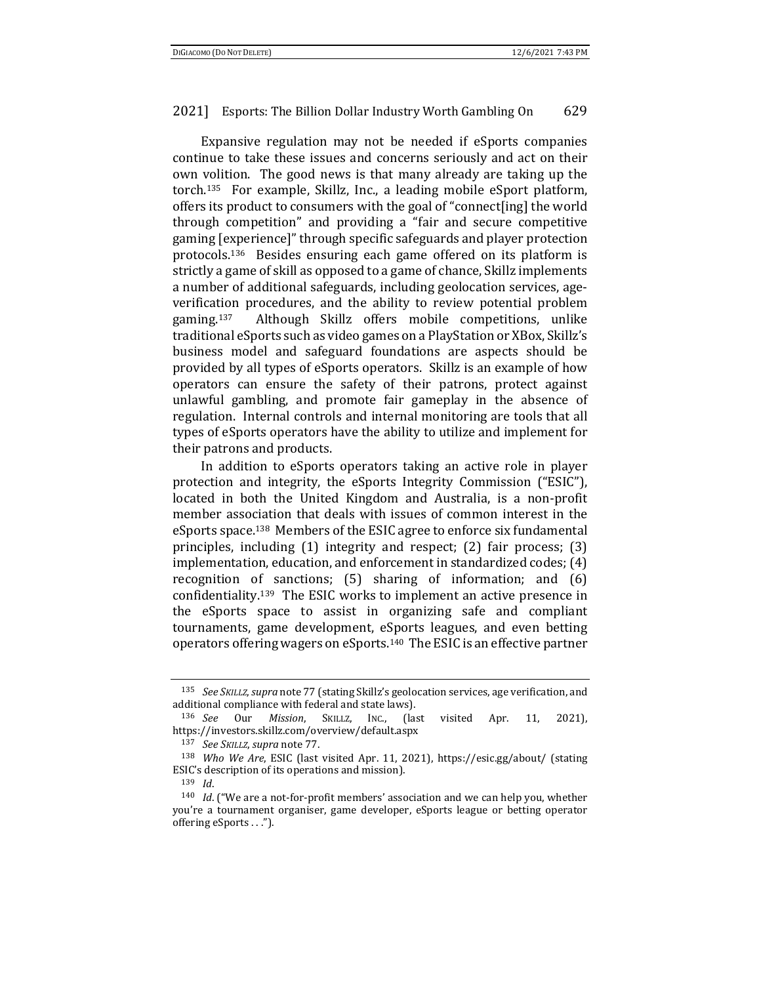Expansive regulation may not be needed if eSports companies continue to take these issues and concerns seriously and act on their own volition. The good news is that many already are taking up the torch.135 For example, Skillz, Inc., a leading mobile eSport platform, offers its product to consumers with the goal of "connect[ing] the world through competition" and providing a "fair and secure competitive gaming [experience]" through specific safeguards and player protection protocols.136 Besides ensuring each game offered on its platform is strictly a game of skill as opposed to a game of chance, Skillz implements a number of additional safeguards, including geolocation services, ageverification procedures, and the ability to review potential problem gaming.137 Although Skillz offers mobile competitions, unlike traditional eSports such as video games on a PlayStation or XBox, Skillz's business model and safeguard foundations are aspects should be provided by all types of eSports operators. Skillz is an example of how operators can ensure the safety of their patrons, protect against unlawful gambling, and promote fair gameplay in the absence of regulation. Internal controls and internal monitoring are tools that all types of eSports operators have the ability to utilize and implement for their patrons and products.

In addition to eSports operators taking an active role in player protection and integrity, the eSports Integrity Commission ("ESIC"), located in both the United Kingdom and Australia, is a non-profit member association that deals with issues of common interest in the eSports space.138 Members of the ESIC agree to enforce six fundamental principles, including (1) integrity and respect; (2) fair process; (3) implementation, education, and enforcement in standardized codes; (4) recognition of sanctions; (5) sharing of information; and (6) confidentiality.139 The ESIC works to implement an active presence in the eSports space to assist in organizing safe and compliant tournaments, game development, eSports leagues, and even betting operators offering wagers on eSports.140 The ESIC is an effective partner

<sup>135</sup> *See SKILLZ*, *supra* note 77 (stating Skillz's geolocation services, age verification, and additional compliance with federal and state laws). 136 *See* Our *Mission*, SKILLZ, INC., (last visited Apr. 11, 2021),

https://investors.skillz.com/overview/default.aspx

<sup>137</sup> *See SKILLZ*, *supra* note 77. 138 *Who We Are*, ESIC (last visited Apr. 11, 2021), https://esic.gg/about/ (stating ESIC's description of its operations and mission).

<sup>&</sup>lt;sup>139</sup> *Id*.<br><sup>140</sup> *Id*. ("We are a not-for-profit members' association and we can help you, whether you're a tournament organiser, game developer, eSports league or betting operator offering eSports . . .").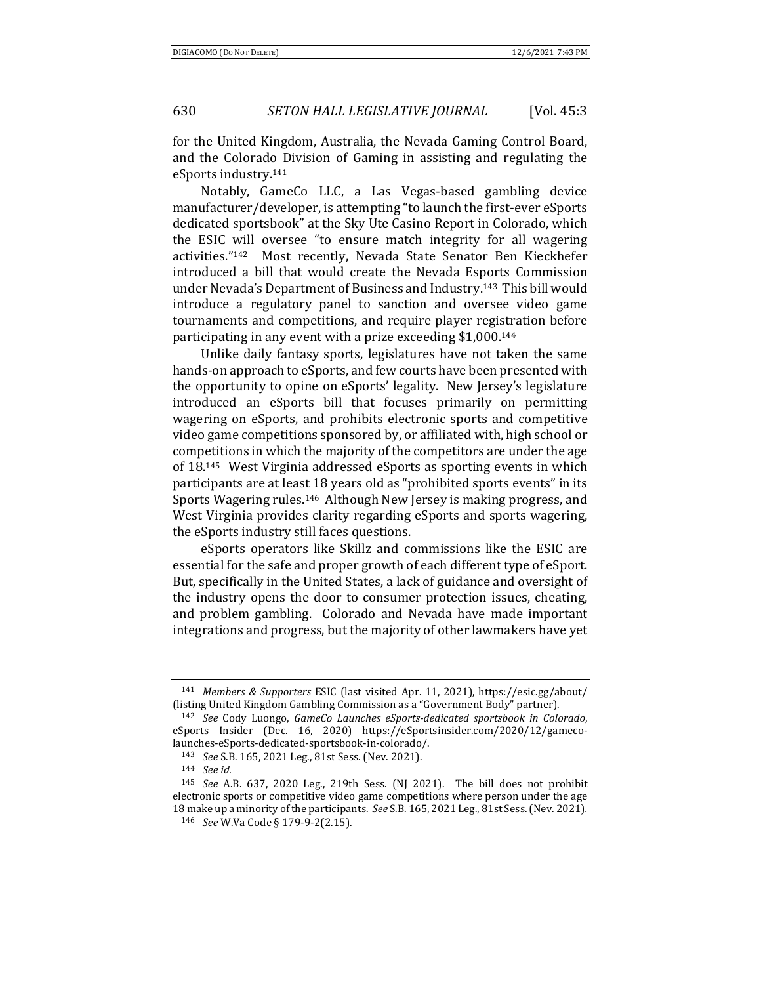for the United Kingdom, Australia, the Nevada Gaming Control Board, and the Colorado Division of Gaming in assisting and regulating the eSports industry.141

Notably, GameCo LLC, a Las Vegas-based gambling device manufacturer/developer, is attempting "to launch the first-ever eSports dedicated sportsbook" at the Sky Ute Casino Report in Colorado, which the ESIC will oversee "to ensure match integrity for all wagering activities."142 Most recently, Nevada State Senator Ben Kieckhefer introduced a bill that would create the Nevada Esports Commission under Nevada's Department of Business and Industry.143 This bill would introduce a regulatory panel to sanction and oversee video game tournaments and competitions, and require player registration before participating in any event with a prize exceeding \$1,000.144

Unlike daily fantasy sports, legislatures have not taken the same hands-on approach to eSports, and few courts have been presented with the opportunity to opine on eSports' legality. New Jersey's legislature introduced an eSports bill that focuses primarily on permitting wagering on eSports, and prohibits electronic sports and competitive video game competitions sponsored by, or affiliated with, high school or competitions in which the majority of the competitors are under the age of 18.145 West Virginia addressed eSports as sporting events in which participants are at least 18 years old as "prohibited sports events" in its Sports Wagering rules.146 Although New Jersey is making progress, and West Virginia provides clarity regarding eSports and sports wagering, the eSports industry still faces questions.

eSports operators like Skillz and commissions like the ESIC are essential for the safe and proper growth of each different type of eSport. But, specifically in the United States, a lack of guidance and oversight of the industry opens the door to consumer protection issues, cheating, and problem gambling. Colorado and Nevada have made important integrations and progress, but the majority of other lawmakers have yet

<sup>141</sup> *Members & Supporters* ESIC (last visited Apr. 11, 2021), https://esic.gg/about/ (listing United Kingdom Gambling Commission as a "Government Body" partner). 142 *See* Cody Luongo, *GameCo Launches eSports‐dedicated sportsbook in Colorado*,

eSports Insider (Dec. 16, 2020) https://eSportsinsider.com/2020/12/gamecolaunches-eSports-dedicated-sportsbook-in-colorado/. 143 *See* S.B. 165, 2021 Leg., 81st Sess. (Nev. 2021). 144 *See id.*

<sup>145</sup> *See* A.B. 637, 2020 Leg., 219th Sess. (NJ 2021). The bill does not prohibit electronic sports or competitive video game competitions where person under the age 18 make up a minority of the participants. *See* S.B. 165, 2021 Leg., 81st Sess. (Nev. 2021)*.*

<sup>146</sup> *See* W.Va Code § 179-9-2(2.15).